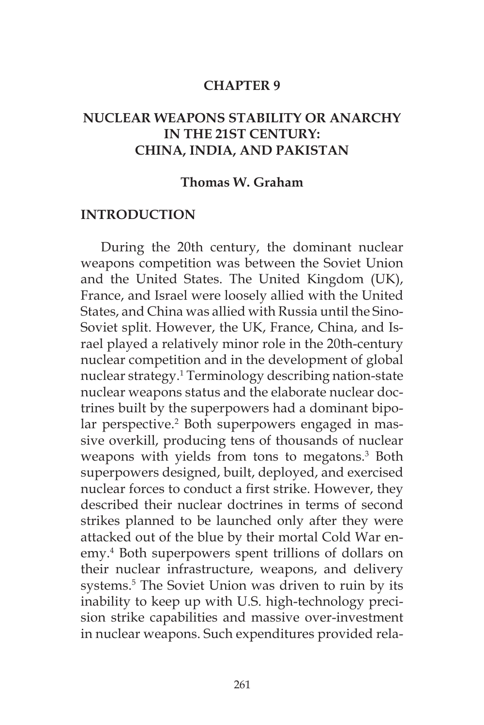#### **CHAPTER 9**

# **NUCLEAR WEAPONS STABILITY OR ANARCHY IN THE 21ST CENTURY: CHINA, INDIA, AND PAKISTAN**

#### **Thomas W. Graham**

#### **INTRODUCTION**

During the 20th century, the dominant nuclear weapons competition was between the Soviet Union and the United States. The United Kingdom (UK), France, and Israel were loosely allied with the United States, and China was allied with Russia until the Sino-Soviet split. However, the UK, France, China, and Israel played a relatively minor role in the 20th-century nuclear competition and in the development of global nuclear strategy.1 Terminology describing nation-state nuclear weapons status and the elaborate nuclear doctrines built by the superpowers had a dominant bipolar perspective.<sup>2</sup> Both superpowers engaged in massive overkill, producing tens of thousands of nuclear weapons with yields from tons to megatons.<sup>3</sup> Both superpowers designed, built, deployed, and exercised nuclear forces to conduct a first strike. However, they described their nuclear doctrines in terms of second strikes planned to be launched only after they were attacked out of the blue by their mortal Cold War enemy.4 Both superpowers spent trillions of dollars on their nuclear infrastructure, weapons, and delivery systems.<sup>5</sup> The Soviet Union was driven to ruin by its inability to keep up with U.S. high-technology precision strike capabilities and massive over-investment in nuclear weapons. Such expenditures provided rela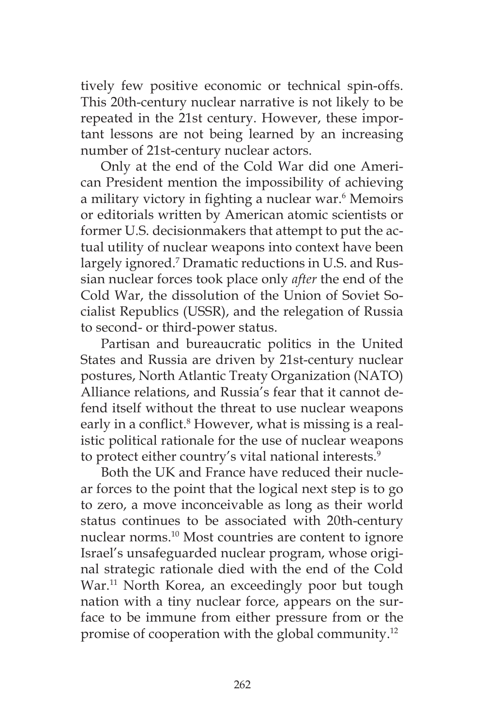tively few positive economic or technical spin-offs. This 20th-century nuclear narrative is not likely to be repeated in the 21st century. However, these important lessons are not being learned by an increasing number of 21st-century nuclear actors.

Only at the end of the Cold War did one American President mention the impossibility of achieving a military victory in fighting a nuclear war.<sup>6</sup> Memoirs or editorials written by American atomic scientists or former U.S. decisionmakers that attempt to put the actual utility of nuclear weapons into context have been largely ignored.7 Dramatic reductions in U.S. and Russian nuclear forces took place only *after* the end of the Cold War, the dissolution of the Union of Soviet Socialist Republics (USSR), and the relegation of Russia to second- or third-power status.

Partisan and bureaucratic politics in the United States and Russia are driven by 21st-century nuclear postures, North Atlantic Treaty Organization (NATO) Alliance relations, and Russia's fear that it cannot defend itself without the threat to use nuclear weapons early in a conflict.<sup>8</sup> However, what is missing is a realistic political rationale for the use of nuclear weapons to protect either country's vital national interests.<sup>9</sup>

Both the UK and France have reduced their nuclear forces to the point that the logical next step is to go to zero, a move inconceivable as long as their world status continues to be associated with 20th-century nuclear norms.10 Most countries are content to ignore Israel's unsafeguarded nuclear program, whose original strategic rationale died with the end of the Cold War.<sup>11</sup> North Korea, an exceedingly poor but tough nation with a tiny nuclear force, appears on the surface to be immune from either pressure from or the promise of cooperation with the global community.12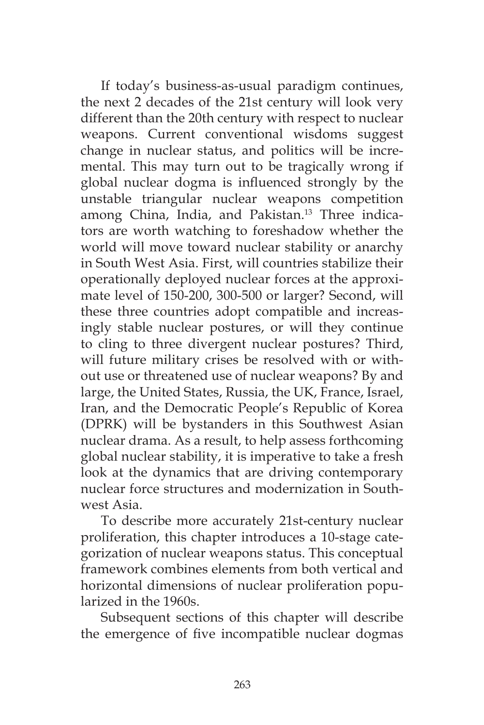If today's business-as-usual paradigm continues, the next 2 decades of the 21st century will look very different than the 20th century with respect to nuclear weapons. Current conventional wisdoms suggest change in nuclear status, and politics will be incremental. This may turn out to be tragically wrong if global nuclear dogma is influenced strongly by the unstable triangular nuclear weapons competition among China, India, and Pakistan.<sup>13</sup> Three indicators are worth watching to foreshadow whether the world will move toward nuclear stability or anarchy in South West Asia. First, will countries stabilize their operationally deployed nuclear forces at the approximate level of 150-200, 300-500 or larger? Second, will these three countries adopt compatible and increasingly stable nuclear postures, or will they continue to cling to three divergent nuclear postures? Third, will future military crises be resolved with or without use or threatened use of nuclear weapons? By and large, the United States, Russia, the UK, France, Israel, Iran, and the Democratic People's Republic of Korea (DPRK) will be bystanders in this Southwest Asian nuclear drama. As a result, to help assess forthcoming global nuclear stability, it is imperative to take a fresh look at the dynamics that are driving contemporary nuclear force structures and modernization in Southwest Asia.

To describe more accurately 21st-century nuclear proliferation, this chapter introduces a 10-stage categorization of nuclear weapons status. This conceptual framework combines elements from both vertical and horizontal dimensions of nuclear proliferation popularized in the 1960s.

Subsequent sections of this chapter will describe the emergence of five incompatible nuclear dogmas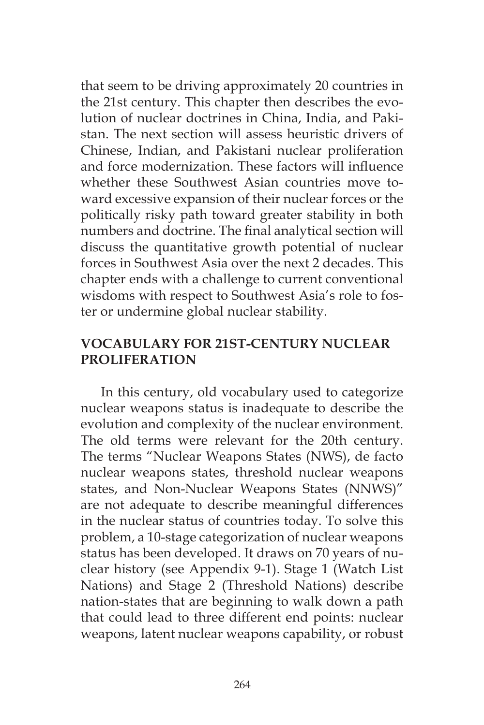that seem to be driving approximately 20 countries in the 21st century. This chapter then describes the evolution of nuclear doctrines in China, India, and Pakistan. The next section will assess heuristic drivers of Chinese, Indian, and Pakistani nuclear proliferation and force modernization. These factors will influence whether these Southwest Asian countries move toward excessive expansion of their nuclear forces or the politically risky path toward greater stability in both numbers and doctrine. The final analytical section will discuss the quantitative growth potential of nuclear forces in Southwest Asia over the next 2 decades. This chapter ends with a challenge to current conventional wisdoms with respect to Southwest Asia's role to foster or undermine global nuclear stability.

# **VOCABULARY FOR 21ST-CENTURY NUCLEAR PROLIFERATION**

In this century, old vocabulary used to categorize nuclear weapons status is inadequate to describe the evolution and complexity of the nuclear environment. The old terms were relevant for the 20th century. The terms "Nuclear Weapons States (NWS), de facto nuclear weapons states, threshold nuclear weapons states, and Non-Nuclear Weapons States (NNWS)" are not adequate to describe meaningful differences in the nuclear status of countries today. To solve this problem, a 10-stage categorization of nuclear weapons status has been developed. It draws on 70 years of nuclear history (see Appendix 9-1). Stage 1 (Watch List Nations) and Stage 2 (Threshold Nations) describe nation-states that are beginning to walk down a path that could lead to three different end points: nuclear weapons, latent nuclear weapons capability, or robust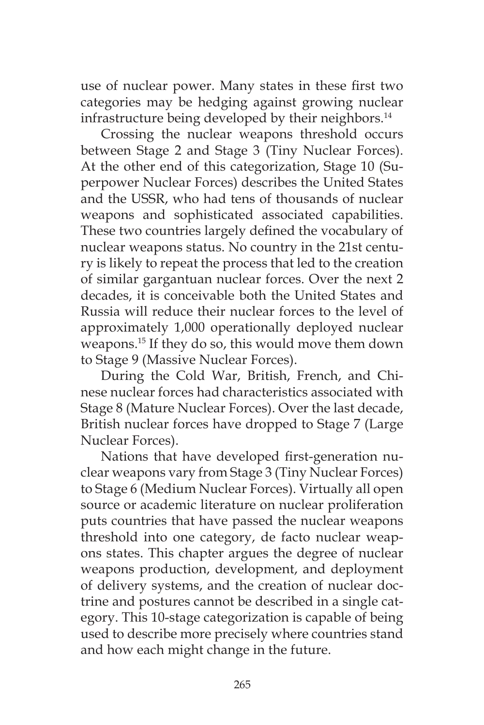use of nuclear power. Many states in these first two categories may be hedging against growing nuclear infrastructure being developed by their neighbors.<sup>14</sup>

Crossing the nuclear weapons threshold occurs between Stage 2 and Stage 3 (Tiny Nuclear Forces). At the other end of this categorization, Stage 10 (Superpower Nuclear Forces) describes the United States and the USSR, who had tens of thousands of nuclear weapons and sophisticated associated capabilities. These two countries largely defined the vocabulary of nuclear weapons status. No country in the 21st century is likely to repeat the process that led to the creation of similar gargantuan nuclear forces. Over the next 2 decades, it is conceivable both the United States and Russia will reduce their nuclear forces to the level of approximately 1,000 operationally deployed nuclear weapons.15 If they do so, this would move them down to Stage 9 (Massive Nuclear Forces).

During the Cold War, British, French, and Chinese nuclear forces had characteristics associated with Stage 8 (Mature Nuclear Forces). Over the last decade, British nuclear forces have dropped to Stage 7 (Large Nuclear Forces).

Nations that have developed first-generation nuclear weapons vary from Stage 3 (Tiny Nuclear Forces) to Stage 6 (Medium Nuclear Forces). Virtually all open source or academic literature on nuclear proliferation puts countries that have passed the nuclear weapons threshold into one category, de facto nuclear weapons states. This chapter argues the degree of nuclear weapons production, development, and deployment of delivery systems, and the creation of nuclear doctrine and postures cannot be described in a single category. This 10-stage categorization is capable of being used to describe more precisely where countries stand and how each might change in the future.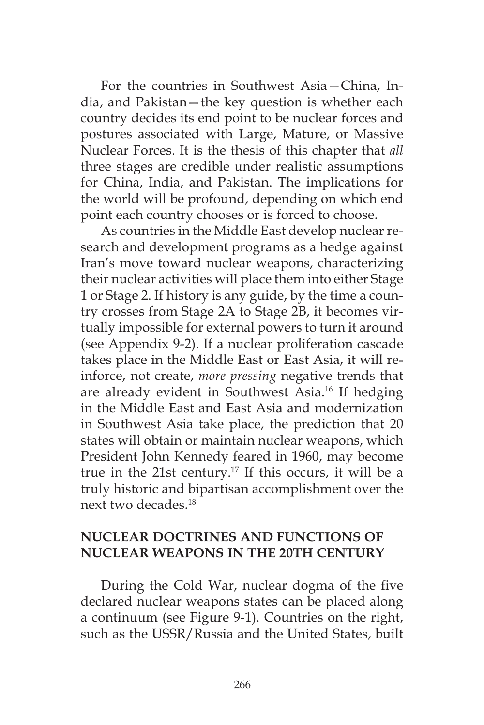For the countries in Southwest Asia—China, India, and Pakistan—the key question is whether each country decides its end point to be nuclear forces and postures associated with Large, Mature, or Massive Nuclear Forces. It is the thesis of this chapter that *all* three stages are credible under realistic assumptions for China, India, and Pakistan. The implications for the world will be profound, depending on which end point each country chooses or is forced to choose.

As countries in the Middle East develop nuclear research and development programs as a hedge against Iran's move toward nuclear weapons, characterizing their nuclear activities will place them into either Stage 1 or Stage 2. If history is any guide, by the time a country crosses from Stage 2A to Stage 2B, it becomes virtually impossible for external powers to turn it around (see Appendix 9-2). If a nuclear proliferation cascade takes place in the Middle East or East Asia, it will reinforce, not create, *more pressing* negative trends that are already evident in Southwest Asia.16 If hedging in the Middle East and East Asia and modernization in Southwest Asia take place, the prediction that 20 states will obtain or maintain nuclear weapons, which President John Kennedy feared in 1960, may become true in the 21st century.<sup>17</sup> If this occurs, it will be a truly historic and bipartisan accomplishment over the next two decades.18

# **NUCLEAR DOCTRINES AND FUNCTIONS OF NUCLEAR WEAPONS IN THE 20TH CENTURY**

During the Cold War, nuclear dogma of the five declared nuclear weapons states can be placed along a continuum (see Figure 9-1). Countries on the right, such as the USSR/Russia and the United States, built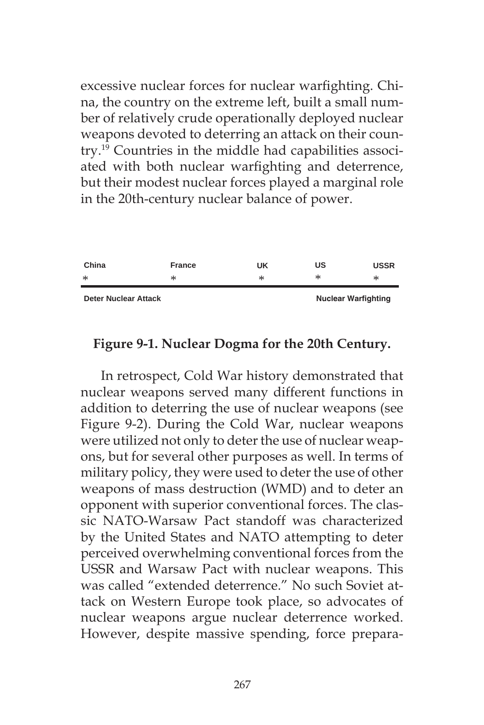excessive nuclear forces for nuclear warfighting. China, the country on the extreme left, built a small number of relatively crude operationally deployed nuclear weapons devoted to deterring an attack on their country.19 Countries in the middle had capabilities associated with both nuclear warfighting and deterrence, but their modest nuclear forces played a marginal role in the 20th-century nuclear balance of power.

| China                       | France | UK | US                         | <b>USSR</b> |
|-----------------------------|--------|----|----------------------------|-------------|
| ∗                           | *      | ∗  | ∗                          | ∗           |
| <b>Deter Nuclear Attack</b> |        |    | <b>Nuclear Warfighting</b> |             |

# **Figure 9-1. Nuclear Dogma for the 20th Century.**

In retrospect, Cold War history demonstrated that nuclear weapons served many different functions in addition to deterring the use of nuclear weapons (see Figure 9-2). During the Cold War, nuclear weapons were utilized not only to deter the use of nuclear weapons, but for several other purposes as well. In terms of military policy, they were used to deter the use of other weapons of mass destruction (WMD) and to deter an opponent with superior conventional forces. The classic NATO-Warsaw Pact standoff was characterized by the United States and NATO attempting to deter perceived overwhelming conventional forces from the USSR and Warsaw Pact with nuclear weapons. This was called "extended deterrence." No such Soviet attack on Western Europe took place, so advocates of nuclear weapons argue nuclear deterrence worked. However, despite massive spending, force prepara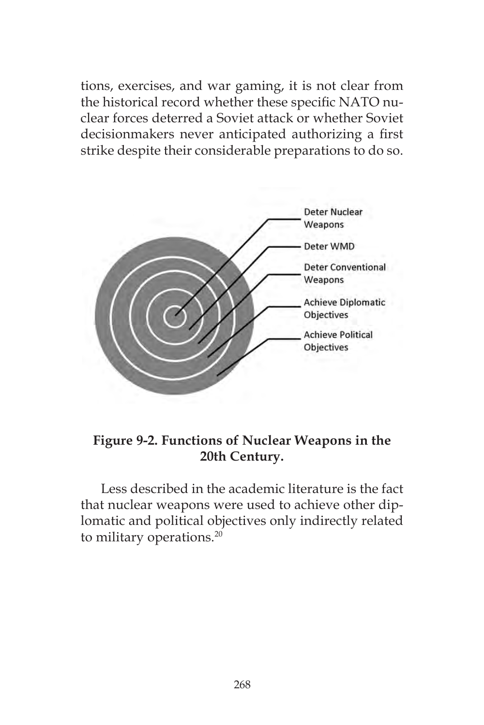tions, exercises, and war gaming, it is not clear from the historical record whether these specific NATO nuclear forces deterred a Soviet attack or whether Soviet decisionmakers never anticipated authorizing a first strike despite their considerable preparations to do so.



# **Figure 9-2. Functions of Nuclear Weapons in the 20th Century.**

Less described in the academic literature is the fact that nuclear weapons were used to achieve other diplomatic and political objectives only indirectly related to military operations.<sup>20</sup>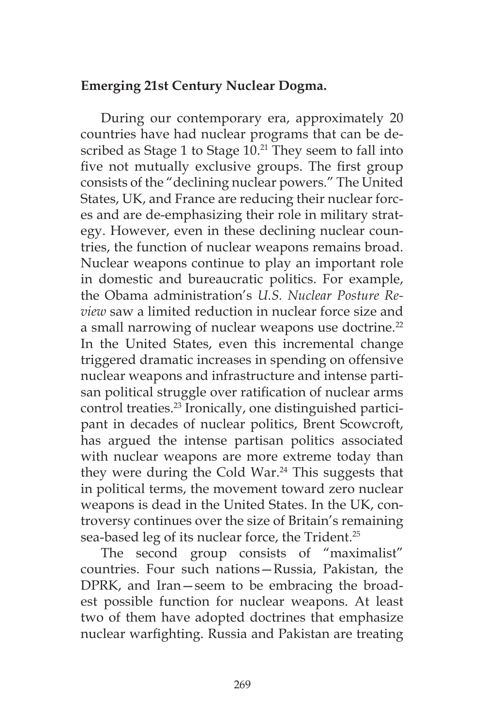### **Emerging 21st Century Nuclear Dogma.**

During our contemporary era, approximately 20 countries have had nuclear programs that can be described as Stage 1 to Stage  $10.<sup>21</sup>$  They seem to fall into five not mutually exclusive groups. The first group consists of the "declining nuclear powers." The United States, UK, and France are reducing their nuclear forces and are de-emphasizing their role in military strategy. However, even in these declining nuclear countries, the function of nuclear weapons remains broad. Nuclear weapons continue to play an important role in domestic and bureaucratic politics. For example, the Obama administration's *U.S. Nuclear Posture Review* saw a limited reduction in nuclear force size and a small narrowing of nuclear weapons use doctrine.<sup>22</sup> In the United States, even this incremental change triggered dramatic increases in spending on offensive nuclear weapons and infrastructure and intense partisan political struggle over ratification of nuclear arms control treaties.23 Ironically, one distinguished participant in decades of nuclear politics, Brent Scowcroft, has argued the intense partisan politics associated with nuclear weapons are more extreme today than they were during the Cold War.<sup>24</sup> This suggests that in political terms, the movement toward zero nuclear weapons is dead in the United States. In the UK, controversy continues over the size of Britain's remaining sea-based leg of its nuclear force, the Trident.<sup>25</sup>

The second group consists of "maximalist" countries. Four such nations—Russia, Pakistan, the DPRK, and Iran—seem to be embracing the broadest possible function for nuclear weapons. At least two of them have adopted doctrines that emphasize nuclear warfighting. Russia and Pakistan are treating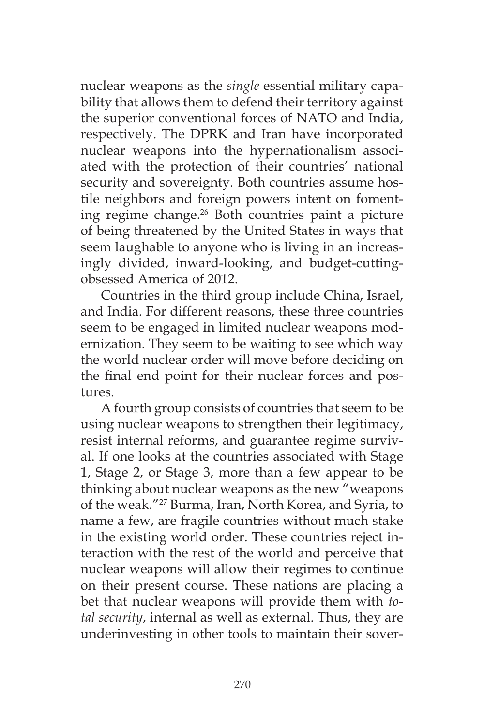nuclear weapons as the *single* essential military capability that allows them to defend their territory against the superior conventional forces of NATO and India, respectively. The DPRK and Iran have incorporated nuclear weapons into the hypernationalism associated with the protection of their countries' national security and sovereignty. Both countries assume hostile neighbors and foreign powers intent on fomenting regime change.26 Both countries paint a picture of being threatened by the United States in ways that seem laughable to anyone who is living in an increasingly divided, inward-looking, and budget-cuttingobsessed America of 2012.

Countries in the third group include China, Israel, and India. For different reasons, these three countries seem to be engaged in limited nuclear weapons modernization. They seem to be waiting to see which way the world nuclear order will move before deciding on the final end point for their nuclear forces and postures.

A fourth group consists of countries that seem to be using nuclear weapons to strengthen their legitimacy, resist internal reforms, and guarantee regime survival. If one looks at the countries associated with Stage 1, Stage 2, or Stage 3, more than a few appear to be thinking about nuclear weapons as the new "weapons of the weak."27 Burma, Iran, North Korea, and Syria, to name a few, are fragile countries without much stake in the existing world order. These countries reject interaction with the rest of the world and perceive that nuclear weapons will allow their regimes to continue on their present course. These nations are placing a bet that nuclear weapons will provide them with *total security*, internal as well as external. Thus, they are underinvesting in other tools to maintain their sover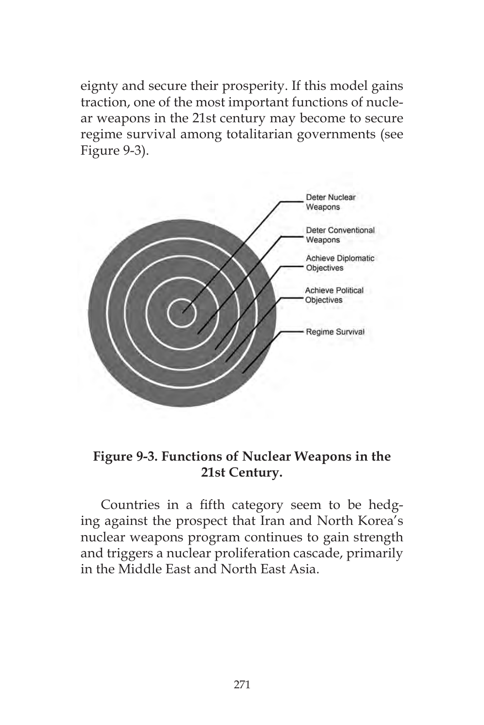eignty and secure their prosperity. If this model gains traction, one of the most important functions of nuclear weapons in the 21st century may become to secure regime survival among totalitarian governments (see Figure 9-3).



# **Figure 9-3. Functions of Nuclear Weapons in the 21st Century.**

Countries in a fifth category seem to be hedging against the prospect that Iran and North Korea's nuclear weapons program continues to gain strength and triggers a nuclear proliferation cascade, primarily in the Middle East and North East Asia.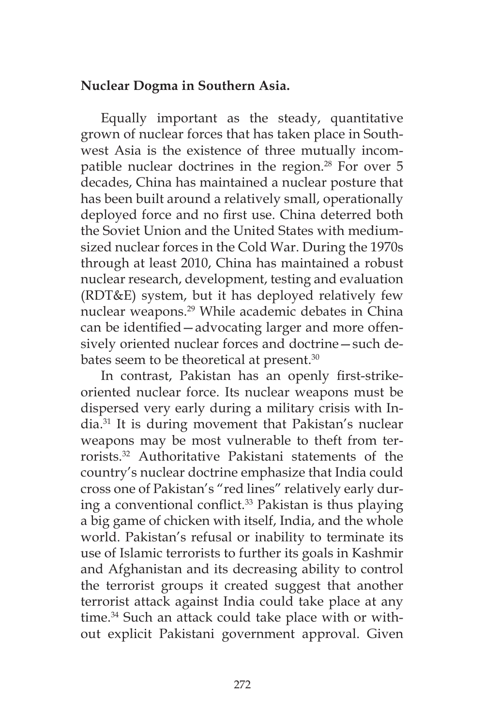### **Nuclear Dogma in Southern Asia.**

Equally important as the steady, quantitative grown of nuclear forces that has taken place in Southwest Asia is the existence of three mutually incompatible nuclear doctrines in the region.<sup>28</sup> For over 5 decades, China has maintained a nuclear posture that has been built around a relatively small, operationally deployed force and no first use. China deterred both the Soviet Union and the United States with mediumsized nuclear forces in the Cold War. During the 1970s through at least 2010, China has maintained a robust nuclear research, development, testing and evaluation (RDT&E) system, but it has deployed relatively few nuclear weapons.<sup>29</sup> While academic debates in China can be identified—advocating larger and more offensively oriented nuclear forces and doctrine—such debates seem to be theoretical at present.<sup>30</sup>

In contrast, Pakistan has an openly first-strikeoriented nuclear force. Its nuclear weapons must be dispersed very early during a military crisis with India.31 It is during movement that Pakistan's nuclear weapons may be most vulnerable to theft from terrorists.32 Authoritative Pakistani statements of the country's nuclear doctrine emphasize that India could cross one of Pakistan's "red lines" relatively early during a conventional conflict.<sup>33</sup> Pakistan is thus playing a big game of chicken with itself, India, and the whole world. Pakistan's refusal or inability to terminate its use of Islamic terrorists to further its goals in Kashmir and Afghanistan and its decreasing ability to control the terrorist groups it created suggest that another terrorist attack against India could take place at any time.34 Such an attack could take place with or without explicit Pakistani government approval. Given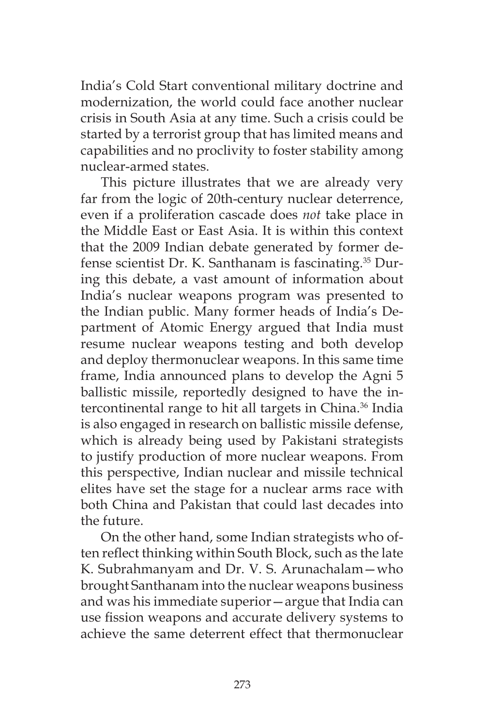India's Cold Start conventional military doctrine and modernization, the world could face another nuclear crisis in South Asia at any time. Such a crisis could be started by a terrorist group that has limited means and capabilities and no proclivity to foster stability among nuclear-armed states.

This picture illustrates that we are already very far from the logic of 20th-century nuclear deterrence, even if a proliferation cascade does *not* take place in the Middle East or East Asia. It is within this context that the 2009 Indian debate generated by former defense scientist Dr. K. Santhanam is fascinating.<sup>35</sup> During this debate, a vast amount of information about India's nuclear weapons program was presented to the Indian public. Many former heads of India's Department of Atomic Energy argued that India must resume nuclear weapons testing and both develop and deploy thermonuclear weapons. In this same time frame, India announced plans to develop the Agni 5 ballistic missile, reportedly designed to have the intercontinental range to hit all targets in China.<sup>36</sup> India is also engaged in research on ballistic missile defense, which is already being used by Pakistani strategists to justify production of more nuclear weapons. From this perspective, Indian nuclear and missile technical elites have set the stage for a nuclear arms race with both China and Pakistan that could last decades into the future.

On the other hand, some Indian strategists who often reflect thinking within South Block, such as the late K. Subrahmanyam and Dr. V. S. Arunachalam—who brought Santhanam into the nuclear weapons business and was his immediate superior—argue that India can use fission weapons and accurate delivery systems to achieve the same deterrent effect that thermonuclear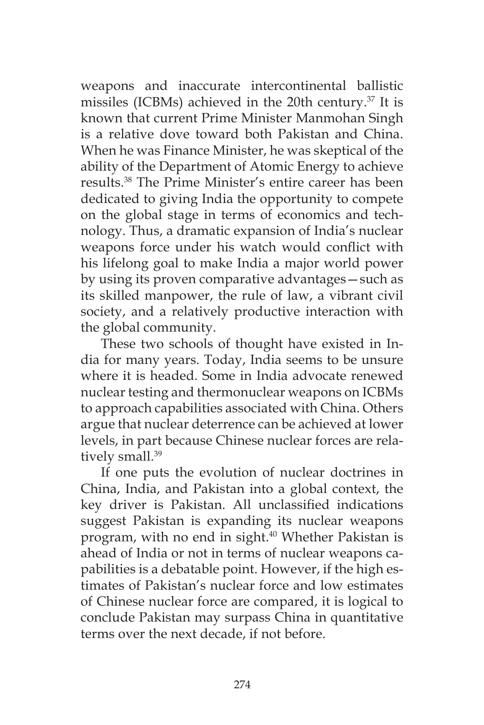weapons and inaccurate intercontinental ballistic missiles (ICBMs) achieved in the 20th century.37 It is known that current Prime Minister Manmohan Singh is a relative dove toward both Pakistan and China. When he was Finance Minister, he was skeptical of the ability of the Department of Atomic Energy to achieve results.38 The Prime Minister's entire career has been dedicated to giving India the opportunity to compete on the global stage in terms of economics and technology. Thus, a dramatic expansion of India's nuclear weapons force under his watch would conflict with his lifelong goal to make India a major world power by using its proven comparative advantages—such as its skilled manpower, the rule of law, a vibrant civil society, and a relatively productive interaction with the global community.

These two schools of thought have existed in India for many years. Today, India seems to be unsure where it is headed. Some in India advocate renewed nuclear testing and thermonuclear weapons on ICBMs to approach capabilities associated with China. Others argue that nuclear deterrence can be achieved at lower levels, in part because Chinese nuclear forces are relatively small.<sup>39</sup>

If one puts the evolution of nuclear doctrines in China, India, and Pakistan into a global context, the key driver is Pakistan. All unclassified indications suggest Pakistan is expanding its nuclear weapons program, with no end in sight.<sup>40</sup> Whether Pakistan is ahead of India or not in terms of nuclear weapons capabilities is a debatable point. However, if the high estimates of Pakistan's nuclear force and low estimates of Chinese nuclear force are compared, it is logical to conclude Pakistan may surpass China in quantitative terms over the next decade, if not before.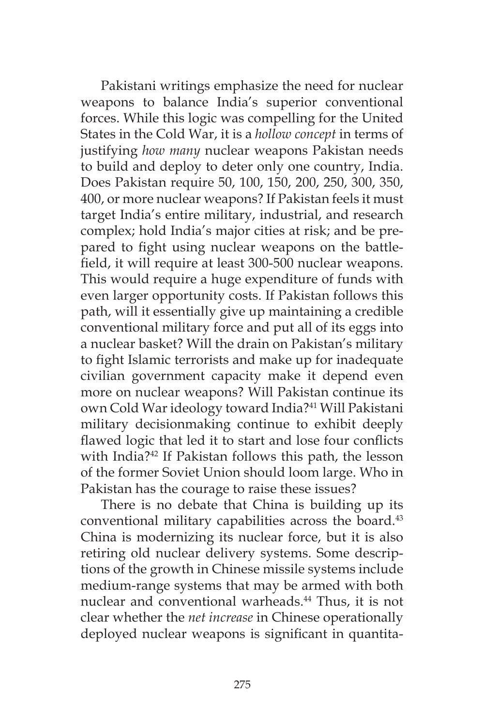Pakistani writings emphasize the need for nuclear weapons to balance India's superior conventional forces. While this logic was compelling for the United States in the Cold War, it is a *hollow concept* in terms of justifying *how many* nuclear weapons Pakistan needs to build and deploy to deter only one country, India. Does Pakistan require 50, 100, 150, 200, 250, 300, 350, 400, or more nuclear weapons? If Pakistan feels it must target India's entire military, industrial, and research complex; hold India's major cities at risk; and be prepared to fight using nuclear weapons on the battlefield, it will require at least 300-500 nuclear weapons. This would require a huge expenditure of funds with even larger opportunity costs. If Pakistan follows this path, will it essentially give up maintaining a credible conventional military force and put all of its eggs into a nuclear basket? Will the drain on Pakistan's military to fight Islamic terrorists and make up for inadequate civilian government capacity make it depend even more on nuclear weapons? Will Pakistan continue its own Cold War ideology toward India?41 Will Pakistani military decisionmaking continue to exhibit deeply flawed logic that led it to start and lose four conflicts with India?42 If Pakistan follows this path, the lesson of the former Soviet Union should loom large. Who in Pakistan has the courage to raise these issues?

There is no debate that China is building up its conventional military capabilities across the board.<sup>43</sup> China is modernizing its nuclear force, but it is also retiring old nuclear delivery systems. Some descriptions of the growth in Chinese missile systems include medium-range systems that may be armed with both nuclear and conventional warheads.<sup>44</sup> Thus, it is not clear whether the *net increase* in Chinese operationally deployed nuclear weapons is significant in quantita-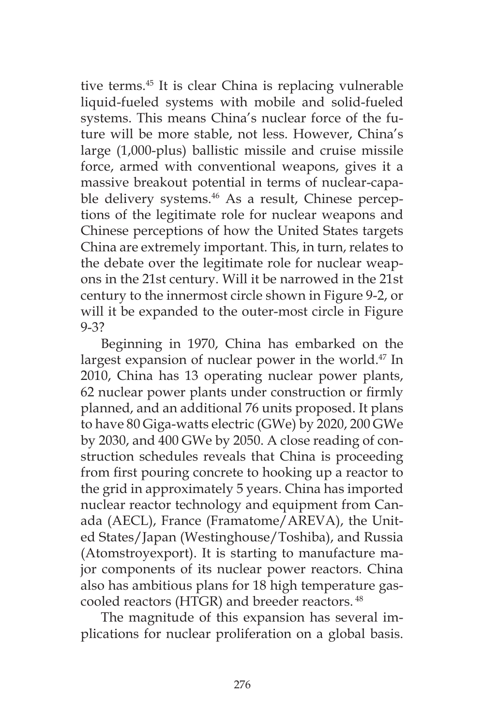tive terms.45 It is clear China is replacing vulnerable liquid-fueled systems with mobile and solid-fueled systems. This means China's nuclear force of the future will be more stable, not less. However, China's large (1,000-plus) ballistic missile and cruise missile force, armed with conventional weapons, gives it a massive breakout potential in terms of nuclear-capable delivery systems.<sup>46</sup> As a result, Chinese perceptions of the legitimate role for nuclear weapons and Chinese perceptions of how the United States targets China are extremely important. This, in turn, relates to the debate over the legitimate role for nuclear weapons in the 21st century. Will it be narrowed in the 21st century to the innermost circle shown in Figure 9-2, or will it be expanded to the outer-most circle in Figure 9-3?

Beginning in 1970, China has embarked on the largest expansion of nuclear power in the world.<sup>47</sup> In 2010, China has 13 operating nuclear power plants, 62 nuclear power plants under construction or firmly planned, and an additional 76 units proposed. It plans to have 80 Giga-watts electric (GWe) by 2020, 200 GWe by 2030, and 400 GWe by 2050. A close reading of construction schedules reveals that China is proceeding from first pouring concrete to hooking up a reactor to the grid in approximately 5 years. China has imported nuclear reactor technology and equipment from Canada (AECL), France (Framatome/AREVA), the United States/Japan (Westinghouse/Toshiba), and Russia (Atomstroyexport). It is starting to manufacture major components of its nuclear power reactors. China also has ambitious plans for 18 high temperature gascooled reactors (HTGR) and breeder reactors. 48

The magnitude of this expansion has several implications for nuclear proliferation on a global basis.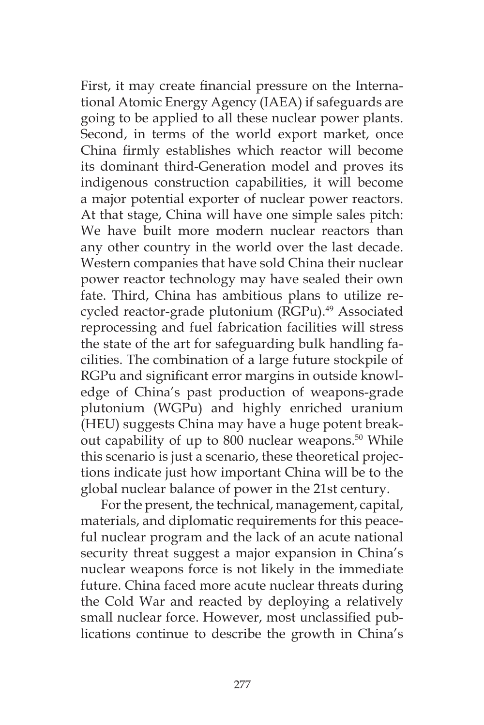First, it may create financial pressure on the International Atomic Energy Agency (IAEA) if safeguards are going to be applied to all these nuclear power plants. Second, in terms of the world export market, once China firmly establishes which reactor will become its dominant third-Generation model and proves its indigenous construction capabilities, it will become a major potential exporter of nuclear power reactors. At that stage, China will have one simple sales pitch: We have built more modern nuclear reactors than any other country in the world over the last decade. Western companies that have sold China their nuclear power reactor technology may have sealed their own fate. Third, China has ambitious plans to utilize recycled reactor-grade plutonium (RGPu).<sup>49</sup> Associated reprocessing and fuel fabrication facilities will stress the state of the art for safeguarding bulk handling facilities. The combination of a large future stockpile of RGPu and significant error margins in outside knowledge of China's past production of weapons-grade plutonium (WGPu) and highly enriched uranium (HEU) suggests China may have a huge potent breakout capability of up to 800 nuclear weapons.<sup>50</sup> While this scenario is just a scenario, these theoretical projections indicate just how important China will be to the global nuclear balance of power in the 21st century.

For the present, the technical, management, capital, materials, and diplomatic requirements for this peaceful nuclear program and the lack of an acute national security threat suggest a major expansion in China's nuclear weapons force is not likely in the immediate future. China faced more acute nuclear threats during the Cold War and reacted by deploying a relatively small nuclear force. However, most unclassified publications continue to describe the growth in China's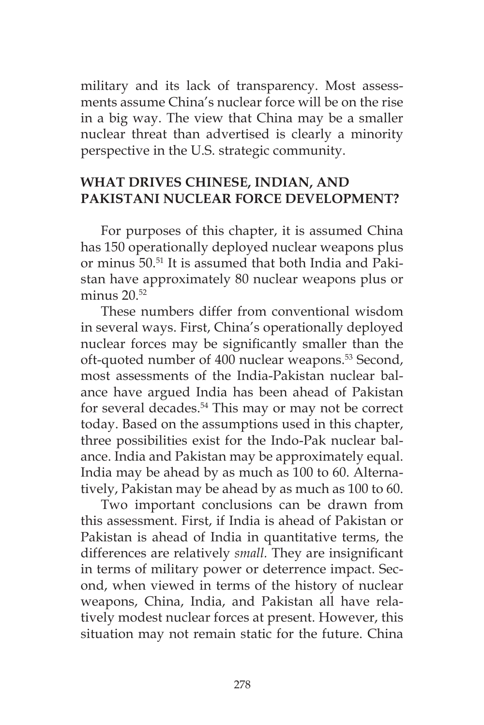military and its lack of transparency. Most assessments assume China's nuclear force will be on the rise in a big way. The view that China may be a smaller nuclear threat than advertised is clearly a minority perspective in the U.S. strategic community.

# **WHAT DRIVES CHINESE, INDIAN, AND PAKISTANI NUCLEAR FORCE DEVELOPMENT?**

For purposes of this chapter, it is assumed China has 150 operationally deployed nuclear weapons plus or minus 50.51 It is assumed that both India and Pakistan have approximately 80 nuclear weapons plus or minus 20.<sup>52</sup>

These numbers differ from conventional wisdom in several ways. First, China's operationally deployed nuclear forces may be significantly smaller than the oft-quoted number of 400 nuclear weapons.<sup>53</sup> Second, most assessments of the India-Pakistan nuclear balance have argued India has been ahead of Pakistan for several decades.<sup>54</sup> This may or may not be correct today. Based on the assumptions used in this chapter, three possibilities exist for the Indo-Pak nuclear balance. India and Pakistan may be approximately equal. India may be ahead by as much as 100 to 60. Alternatively, Pakistan may be ahead by as much as 100 to 60.

Two important conclusions can be drawn from this assessment. First, if India is ahead of Pakistan or Pakistan is ahead of India in quantitative terms, the differences are relatively *small.* They are insignificant in terms of military power or deterrence impact. Second, when viewed in terms of the history of nuclear weapons, China, India, and Pakistan all have relatively modest nuclear forces at present. However, this situation may not remain static for the future. China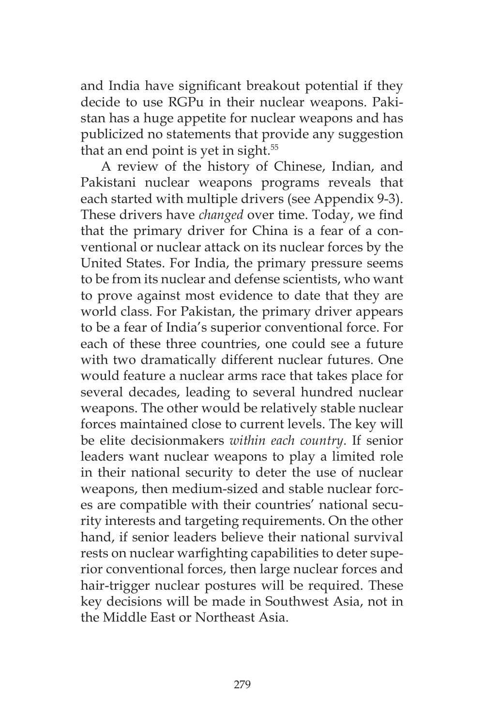and India have significant breakout potential if they decide to use RGPu in their nuclear weapons. Pakistan has a huge appetite for nuclear weapons and has publicized no statements that provide any suggestion that an end point is yet in sight.<sup>55</sup>

A review of the history of Chinese, Indian, and Pakistani nuclear weapons programs reveals that each started with multiple drivers (see Appendix 9-3). These drivers have *changed* over time. Today, we find that the primary driver for China is a fear of a conventional or nuclear attack on its nuclear forces by the United States. For India, the primary pressure seems to be from its nuclear and defense scientists, who want to prove against most evidence to date that they are world class. For Pakistan, the primary driver appears to be a fear of India's superior conventional force. For each of these three countries, one could see a future with two dramatically different nuclear futures. One would feature a nuclear arms race that takes place for several decades, leading to several hundred nuclear weapons. The other would be relatively stable nuclear forces maintained close to current levels. The key will be elite decisionmakers *within each country*. If senior leaders want nuclear weapons to play a limited role in their national security to deter the use of nuclear weapons, then medium-sized and stable nuclear forces are compatible with their countries' national security interests and targeting requirements. On the other hand, if senior leaders believe their national survival rests on nuclear warfighting capabilities to deter superior conventional forces, then large nuclear forces and hair-trigger nuclear postures will be required. These key decisions will be made in Southwest Asia, not in the Middle East or Northeast Asia.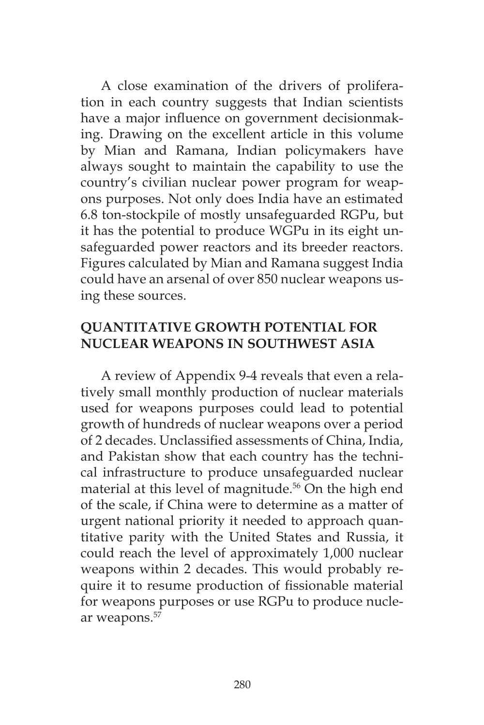A close examination of the drivers of proliferation in each country suggests that Indian scientists have a major influence on government decisionmaking. Drawing on the excellent article in this volume by Mian and Ramana, Indian policymakers have always sought to maintain the capability to use the country's civilian nuclear power program for weapons purposes. Not only does India have an estimated 6.8 ton-stockpile of mostly unsafeguarded RGPu, but it has the potential to produce WGPu in its eight unsafeguarded power reactors and its breeder reactors. Figures calculated by Mian and Ramana suggest India could have an arsenal of over 850 nuclear weapons using these sources.

# **QUANTITATIVE GROWTH POTENTIAL FOR NUCLEAR WEAPONS IN SOUTHWEST ASIA**

A review of Appendix 9-4 reveals that even a relatively small monthly production of nuclear materials used for weapons purposes could lead to potential growth of hundreds of nuclear weapons over a period of 2 decades. Unclassified assessments of China, India, and Pakistan show that each country has the technical infrastructure to produce unsafeguarded nuclear material at this level of magnitude.<sup>56</sup> On the high end of the scale, if China were to determine as a matter of urgent national priority it needed to approach quantitative parity with the United States and Russia, it could reach the level of approximately 1,000 nuclear weapons within 2 decades. This would probably require it to resume production of fissionable material for weapons purposes or use RGPu to produce nuclear weapons.57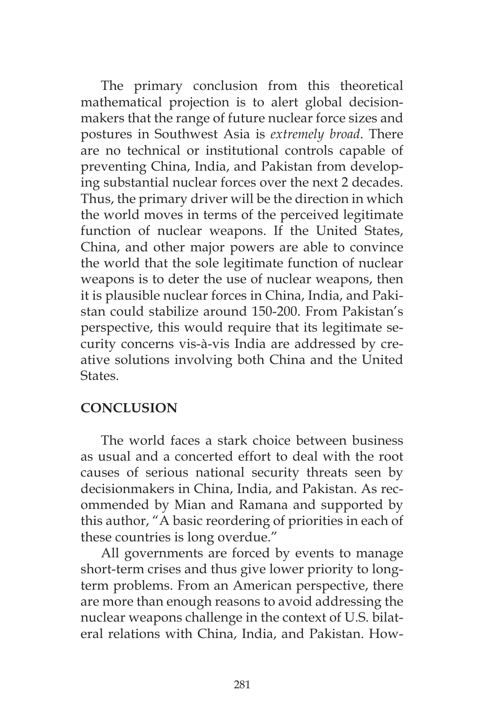The primary conclusion from this theoretical mathematical projection is to alert global decisionmakers that the range of future nuclear force sizes and postures in Southwest Asia is *extremely broad*. There are no technical or institutional controls capable of preventing China, India, and Pakistan from developing substantial nuclear forces over the next 2 decades. Thus, the primary driver will be the direction in which the world moves in terms of the perceived legitimate function of nuclear weapons. If the United States, China, and other major powers are able to convince the world that the sole legitimate function of nuclear weapons is to deter the use of nuclear weapons, then it is plausible nuclear forces in China, India, and Pakistan could stabilize around 150-200. From Pakistan's perspective, this would require that its legitimate security concerns vis-à-vis India are addressed by creative solutions involving both China and the United States.

### **CONCLUSION**

The world faces a stark choice between business as usual and a concerted effort to deal with the root causes of serious national security threats seen by decisionmakers in China, India, and Pakistan. As recommended by Mian and Ramana and supported by this author, "A basic reordering of priorities in each of these countries is long overdue."

All governments are forced by events to manage short-term crises and thus give lower priority to longterm problems. From an American perspective, there are more than enough reasons to avoid addressing the nuclear weapons challenge in the context of U.S. bilateral relations with China, India, and Pakistan. How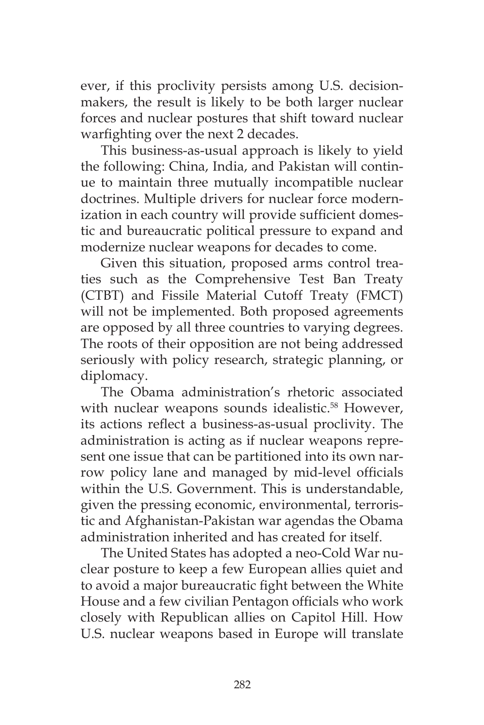ever, if this proclivity persists among U.S. decisionmakers, the result is likely to be both larger nuclear forces and nuclear postures that shift toward nuclear warfighting over the next 2 decades.

This business-as-usual approach is likely to yield the following: China, India, and Pakistan will continue to maintain three mutually incompatible nuclear doctrines. Multiple drivers for nuclear force modernization in each country will provide sufficient domestic and bureaucratic political pressure to expand and modernize nuclear weapons for decades to come.

Given this situation, proposed arms control treaties such as the Comprehensive Test Ban Treaty (CTBT) and Fissile Material Cutoff Treaty (FMCT) will not be implemented. Both proposed agreements are opposed by all three countries to varying degrees. The roots of their opposition are not being addressed seriously with policy research, strategic planning, or diplomacy.

The Obama administration's rhetoric associated with nuclear weapons sounds idealistic.<sup>58</sup> However, its actions reflect a business-as-usual proclivity. The administration is acting as if nuclear weapons represent one issue that can be partitioned into its own narrow policy lane and managed by mid-level officials within the U.S. Government. This is understandable, given the pressing economic, environmental, terroristic and Afghanistan-Pakistan war agendas the Obama administration inherited and has created for itself.

The United States has adopted a neo-Cold War nuclear posture to keep a few European allies quiet and to avoid a major bureaucratic fight between the White House and a few civilian Pentagon officials who work closely with Republican allies on Capitol Hill. How U.S. nuclear weapons based in Europe will translate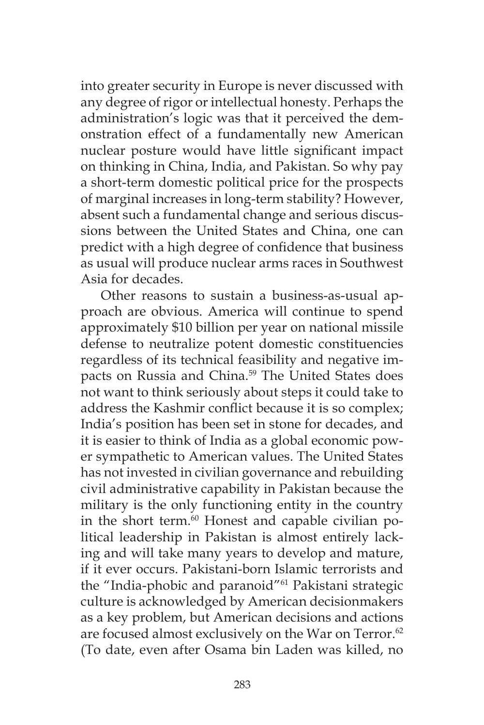into greater security in Europe is never discussed with any degree of rigor or intellectual honesty. Perhaps the administration's logic was that it perceived the demonstration effect of a fundamentally new American nuclear posture would have little significant impact on thinking in China, India, and Pakistan. So why pay a short-term domestic political price for the prospects of marginal increases in long-term stability? However, absent such a fundamental change and serious discussions between the United States and China, one can predict with a high degree of confidence that business as usual will produce nuclear arms races in Southwest Asia for decades.

Other reasons to sustain a business-as-usual approach are obvious. America will continue to spend approximately \$10 billion per year on national missile defense to neutralize potent domestic constituencies regardless of its technical feasibility and negative impacts on Russia and China.<sup>59</sup> The United States does not want to think seriously about steps it could take to address the Kashmir conflict because it is so complex; India's position has been set in stone for decades, and it is easier to think of India as a global economic power sympathetic to American values. The United States has not invested in civilian governance and rebuilding civil administrative capability in Pakistan because the military is the only functioning entity in the country in the short term.<sup>60</sup> Honest and capable civilian political leadership in Pakistan is almost entirely lacking and will take many years to develop and mature, if it ever occurs. Pakistani-born Islamic terrorists and the "India-phobic and paranoid"61 Pakistani strategic culture is acknowledged by American decisionmakers as a key problem, but American decisions and actions are focused almost exclusively on the War on Terror.<sup>62</sup> (To date, even after Osama bin Laden was killed, no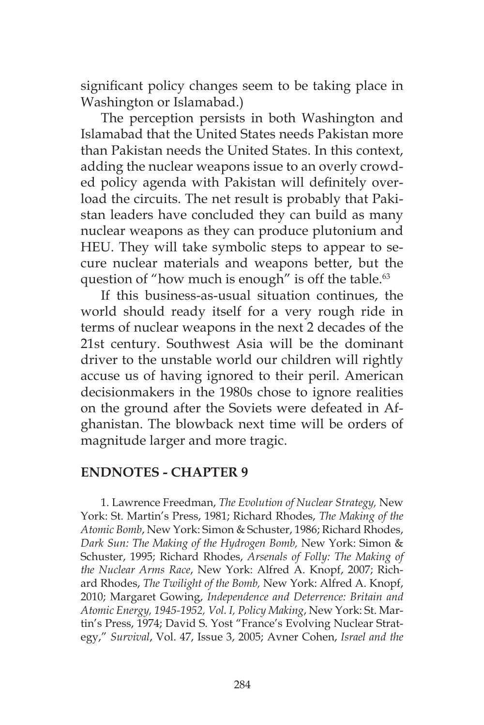significant policy changes seem to be taking place in Washington or Islamabad.)

The perception persists in both Washington and Islamabad that the United States needs Pakistan more than Pakistan needs the United States. In this context, adding the nuclear weapons issue to an overly crowded policy agenda with Pakistan will definitely overload the circuits. The net result is probably that Pakistan leaders have concluded they can build as many nuclear weapons as they can produce plutonium and HEU. They will take symbolic steps to appear to secure nuclear materials and weapons better, but the question of "how much is enough" is off the table.<sup>63</sup>

If this business-as-usual situation continues, the world should ready itself for a very rough ride in terms of nuclear weapons in the next 2 decades of the 21st century. Southwest Asia will be the dominant driver to the unstable world our children will rightly accuse us of having ignored to their peril. American decisionmakers in the 1980s chose to ignore realities on the ground after the Soviets were defeated in Afghanistan. The blowback next time will be orders of magnitude larger and more tragic.

### **ENDNOTES - CHAPTER 9**

1. Lawrence Freedman, *The Evolution of Nuclear Strategy,* New York: St. Martin's Press, 1981; Richard Rhodes, *The Making of the Atomic Bomb*, New York: Simon & Schuster, 1986; Richard Rhodes, *Dark Sun: The Making of the Hydrogen Bomb,* New York: Simon & Schuster, 1995; Richard Rhodes, *Arsenals of Folly: The Making of the Nuclear Arms Race*, New York: Alfred A. Knopf, 2007; Richard Rhodes, *The Twilight of the Bomb,* New York: Alfred A. Knopf, 2010; Margaret Gowing, *Independence and Deterrence: Britain and Atomic Energy, 1945-1952, Vol. I, Policy Making*, New York: St. Martin's Press, 1974; David S. Yost "France's Evolving Nuclear Strategy," *Survival*, Vol. 47, Issue 3, 2005; Avner Cohen, *Israel and the*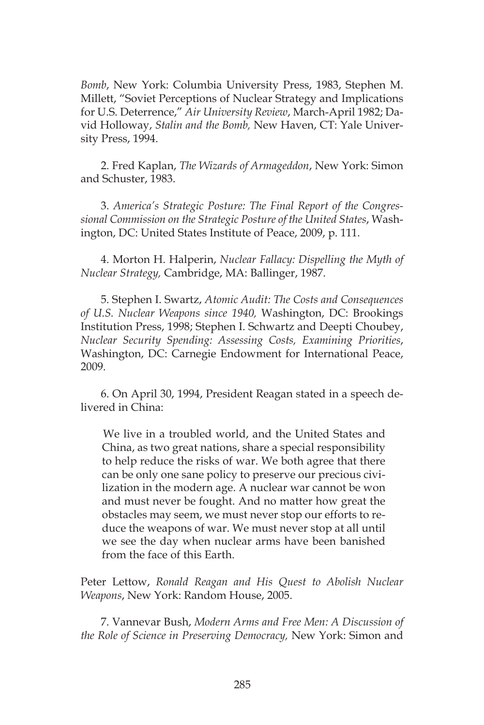*Bomb*, New York: Columbia University Press, 1983, Stephen M. Millett, "Soviet Perceptions of Nuclear Strategy and Implications for U.S. Deterrence," *Air University Review*, March-April 1982; David Holloway, *Stalin and the Bomb,* New Haven, CT: Yale University Press, 1994.

2. Fred Kaplan, *The Wizards of Armageddon*, New York: Simon and Schuster, 1983.

3. *America's Strategic Posture: The Final Report of the Congressional Commission on the Strategic Posture of the United States*, Washington, DC: United States Institute of Peace, 2009, p. 111.

4. Morton H. Halperin, *Nuclear Fallacy: Dispelling the Myth of Nuclear Strategy,* Cambridge, MA: Ballinger, 1987.

5. Stephen I. Swartz, *Atomic Audit: The Costs and Consequences of U.S. Nuclear Weapons since 1940,* Washington, DC: Brookings Institution Press, 1998; Stephen I. Schwartz and Deepti Choubey, *Nuclear Security Spending: Assessing Costs, Examining Priorities*, Washington, DC: Carnegie Endowment for International Peace, 2009.

6. On April 30, 1994, President Reagan stated in a speech delivered in China:

We live in a troubled world, and the United States and China, as two great nations, share a special responsibility to help reduce the risks of war. We both agree that there can be only one sane policy to preserve our precious civilization in the modern age. A nuclear war cannot be won and must never be fought. And no matter how great the obstacles may seem, we must never stop our efforts to reduce the weapons of war. We must never stop at all until we see the day when nuclear arms have been banished from the face of this Earth.

Peter Lettow, *Ronald Reagan and His Quest to Abolish Nuclear Weapons*, New York: Random House, 2005.

7. Vannevar Bush, *Modern Arms and Free Men: A Discussion of the Role of Science in Preserving Democracy,* New York: Simon and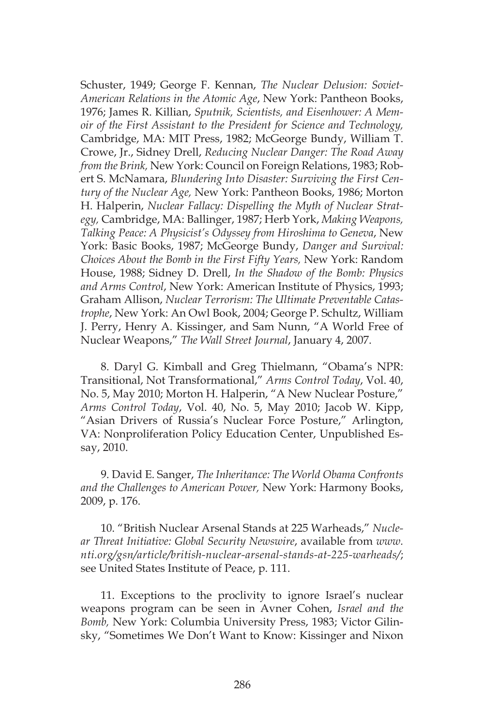Schuster, 1949; George F. Kennan, *The Nuclear Delusion: Soviet-American Relations in the Atomic Age*, New York: Pantheon Books, 1976; James R. Killian, *Sputnik, Scientists, and Eisenhower: A Memoir of the First Assistant to the President for Science and Technology,* Cambridge, MA: MIT Press, 1982; McGeorge Bundy, William T. Crowe, Jr., Sidney Drell, *Reducing Nuclear Danger: The Road Away from the Brink,* New York: Council on Foreign Relations, 1983; Robert S. McNamara, *Blundering Into Disaster: Surviving the First Century of the Nuclear Age,* New York: Pantheon Books, 1986; Morton H. Halperin, *Nuclear Fallacy: Dispelling the Myth of Nuclear Strategy,* Cambridge, MA: Ballinger, 1987; Herb York, *Making Weapons, Talking Peace: A Physicist's Odyssey from Hiroshima to Geneva*, New York: Basic Books, 1987; McGeorge Bundy, *Danger and Survival: Choices About the Bomb in the First Fifty Years,* New York: Random House, 1988; Sidney D. Drell, *In the Shadow of the Bomb: Physics and Arms Control*, New York: American Institute of Physics, 1993; Graham Allison, *Nuclear Terrorism: The Ultimate Preventable Catastrophe*, New York: An Owl Book, 2004; George P. Schultz, William J. Perry, Henry A. Kissinger, and Sam Nunn, "A World Free of Nuclear Weapons," *The Wall Street Journal*, January 4, 2007.

8. Daryl G. Kimball and Greg Thielmann, "Obama's NPR: Transitional, Not Transformational," *Arms Control Today*, Vol. 40, No. 5, May 2010; Morton H. Halperin, "A New Nuclear Posture," *Arms Control Today*, Vol. 40, No. 5, May 2010; Jacob W. Kipp, "Asian Drivers of Russia's Nuclear Force Posture," Arlington, VA: Nonproliferation Policy Education Center, Unpublished Essay, 2010.

9. David E. Sanger, *The Inheritance: The World Obama Confronts and the Challenges to American Power,* New York: Harmony Books, 2009, p. 176.

10. "British Nuclear Arsenal Stands at 225 Warheads," *Nuclear Threat Initiative: Global Security Newswire*, available from *www. nti.org/gsn/article/british-nuclear-arsenal-stands-at-225-warheads/*; see United States Institute of Peace, p. 111.

11. Exceptions to the proclivity to ignore Israel's nuclear weapons program can be seen in Avner Cohen, *Israel and the Bomb,* New York: Columbia University Press, 1983; Victor Gilinsky, "Sometimes We Don't Want to Know: Kissinger and Nixon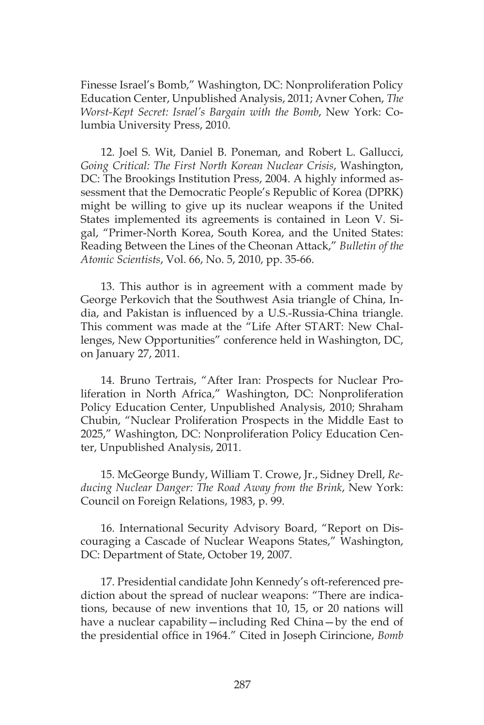Finesse Israel's Bomb," Washington, DC: Nonproliferation Policy Education Center, Unpublished Analysis, 2011; Avner Cohen, *The Worst-Kept Secret: Israel's Bargain with the Bomb*, New York: Columbia University Press, 2010.

12. Joel S. Wit, Daniel B. Poneman, and Robert L. Gallucci, *Going Critical: The First North Korean Nuclear Crisis*, Washington, DC: The Brookings Institution Press, 2004. A highly informed assessment that the Democratic People's Republic of Korea (DPRK) might be willing to give up its nuclear weapons if the United States implemented its agreements is contained in Leon V. Sigal, "Primer-North Korea, South Korea, and the United States: Reading Between the Lines of the Cheonan Attack," *Bulletin of the Atomic Scientists*, Vol. 66, No. 5, 2010, pp. 35-66.

13. This author is in agreement with a comment made by George Perkovich that the Southwest Asia triangle of China, India, and Pakistan is influenced by a U.S.-Russia-China triangle. This comment was made at the "Life After START: New Challenges, New Opportunities" conference held in Washington, DC, on January 27, 2011.

14. Bruno Tertrais, "After Iran: Prospects for Nuclear Proliferation in North Africa," Washington, DC: Nonproliferation Policy Education Center, Unpublished Analysis, 2010; Shraham Chubin, "Nuclear Proliferation Prospects in the Middle East to 2025," Washington, DC: Nonproliferation Policy Education Center, Unpublished Analysis, 2011.

15. McGeorge Bundy, William T. Crowe, Jr., Sidney Drell, *Reducing Nuclear Danger: The Road Away from the Brink*, New York: Council on Foreign Relations, 1983, p. 99.

16. International Security Advisory Board, "Report on Discouraging a Cascade of Nuclear Weapons States," Washington, DC: Department of State, October 19, 2007.

17. Presidential candidate John Kennedy's oft-referenced prediction about the spread of nuclear weapons: "There are indications, because of new inventions that 10, 15, or 20 nations will have a nuclear capability—including Red China—by the end of the presidential office in 1964." Cited in Joseph Cirincione, *Bomb*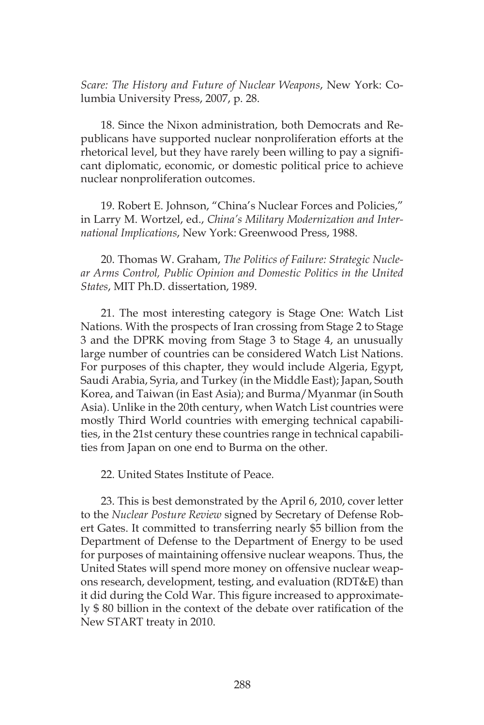*Scare: The History and Future of Nuclear Weapons*, New York: Columbia University Press, 2007, p. 28.

18. Since the Nixon administration, both Democrats and Republicans have supported nuclear nonproliferation efforts at the rhetorical level, but they have rarely been willing to pay a significant diplomatic, economic, or domestic political price to achieve nuclear nonproliferation outcomes.

19. Robert E. Johnson, "China's Nuclear Forces and Policies," in Larry M. Wortzel, ed., *China's Military Modernization and International Implications*, New York: Greenwood Press, 1988.

20. Thomas W. Graham, *The Politics of Failure: Strategic Nuclear Arms Control, Public Opinion and Domestic Politics in the United States*, MIT Ph.D. dissertation, 1989.

21. The most interesting category is Stage One: Watch List Nations. With the prospects of Iran crossing from Stage 2 to Stage 3 and the DPRK moving from Stage 3 to Stage 4, an unusually large number of countries can be considered Watch List Nations. For purposes of this chapter, they would include Algeria, Egypt, Saudi Arabia, Syria, and Turkey (in the Middle East); Japan, South Korea, and Taiwan (in East Asia); and Burma/Myanmar (in South Asia). Unlike in the 20th century, when Watch List countries were mostly Third World countries with emerging technical capabilities, in the 21st century these countries range in technical capabilities from Japan on one end to Burma on the other.

22. United States Institute of Peace*.*

23. This is best demonstrated by the April 6, 2010, cover letter to the *Nuclear Posture Review* signed by Secretary of Defense Robert Gates. It committed to transferring nearly \$5 billion from the Department of Defense to the Department of Energy to be used for purposes of maintaining offensive nuclear weapons. Thus, the United States will spend more money on offensive nuclear weapons research, development, testing, and evaluation (RDT&E) than it did during the Cold War. This figure increased to approximately \$ 80 billion in the context of the debate over ratification of the New START treaty in 2010.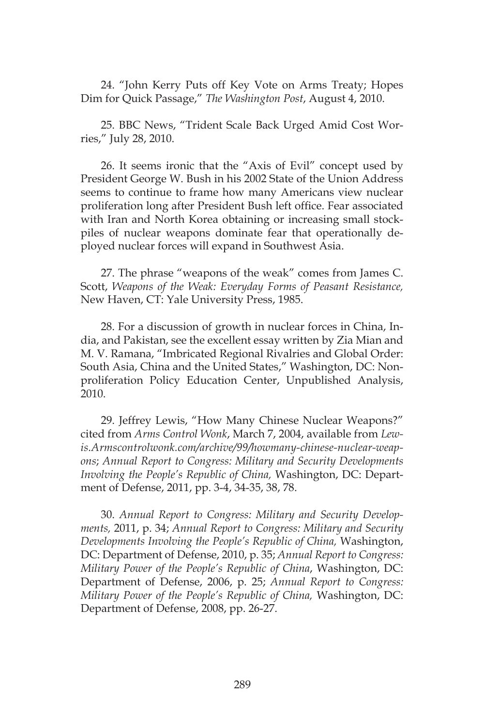24. "John Kerry Puts off Key Vote on Arms Treaty; Hopes Dim for Quick Passage," *The Washington Post*, August 4, 2010.

25. BBC News, "Trident Scale Back Urged Amid Cost Worries," July 28, 2010.

26. It seems ironic that the "Axis of Evil" concept used by President George W. Bush in his 2002 State of the Union Address seems to continue to frame how many Americans view nuclear proliferation long after President Bush left office. Fear associated with Iran and North Korea obtaining or increasing small stockpiles of nuclear weapons dominate fear that operationally deployed nuclear forces will expand in Southwest Asia.

27. The phrase "weapons of the weak" comes from James C. Scott, *Weapons of the Weak: Everyday Forms of Peasant Resistance,* New Haven, CT: Yale University Press, 1985.

28. For a discussion of growth in nuclear forces in China, India, and Pakistan, see the excellent essay written by Zia Mian and M. V. Ramana, "Imbricated Regional Rivalries and Global Order: South Asia, China and the United States," Washington, DC: Nonproliferation Policy Education Center, Unpublished Analysis, 2010.

29. Jeffrey Lewis, "How Many Chinese Nuclear Weapons?" cited from *Arms Control Wonk*, March 7, 2004, available from *Lewis.Armscontrolwonk.com/archive/99/howmany-chinese-nuclear-weapons*; *Annual Report to Congress: Military and Security Developments Involving the People's Republic of China,* Washington, DC: Department of Defense, 2011, pp. 3-4, 34-35, 38, 78.

30. *Annual Report to Congress: Military and Security Developments,* 2011, p. 34; *Annual Report to Congress: Military and Security Developments Involving the People's Republic of China,* Washington, DC: Department of Defense, 2010, p. 35; *Annual Report to Congress: Military Power of the People's Republic of China*, Washington, DC: Department of Defense, 2006, p. 25; *Annual Report to Congress: Military Power of the People's Republic of China,* Washington, DC: Department of Defense, 2008, pp. 26-27.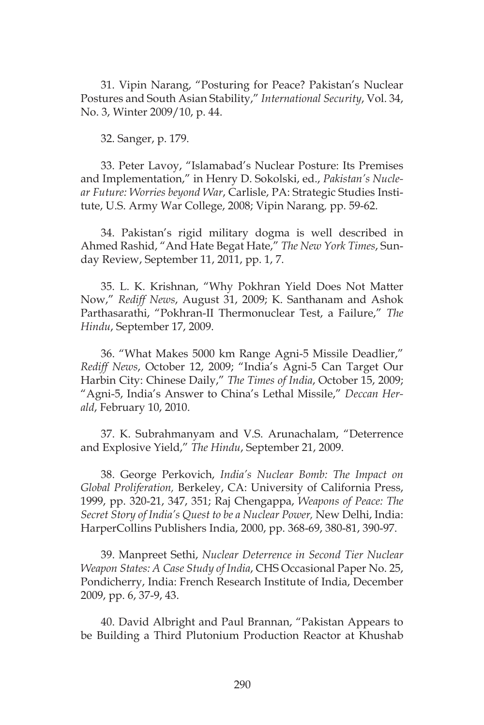31. Vipin Narang, "Posturing for Peace? Pakistan's Nuclear Postures and South Asian Stability," *International Security*, Vol. 34, No. 3, Winter 2009/10, p. 44.

32. Sanger, p. 179.

33. Peter Lavoy, "Islamabad's Nuclear Posture: Its Premises and Implementation," in Henry D. Sokolski, ed., *Pakistan's Nuclear Future: Worries beyond War*, Carlisle, PA: Strategic Studies Institute, U.S. Army War College, 2008; Vipin Narang*,* pp. 59-62.

34. Pakistan's rigid military dogma is well described in Ahmed Rashid, "And Hate Begat Hate," *The New York Times*, Sunday Review, September 11, 2011, pp. 1, 7.

35. L. K. Krishnan, "Why Pokhran Yield Does Not Matter Now," *Rediff News*, August 31, 2009; K. Santhanam and Ashok Parthasarathi, "Pokhran-II Thermonuclear Test, a Failure," *The Hindu*, September 17, 2009.

36. "What Makes 5000 km Range Agni-5 Missile Deadlier," *Rediff News*, October 12, 2009; "India's Agni-5 Can Target Our Harbin City: Chinese Daily," *The Times of India*, October 15, 2009; "Agni-5, India's Answer to China's Lethal Missile," *Deccan Herald*, February 10, 2010.

37. K. Subrahmanyam and V.S. Arunachalam, "Deterrence and Explosive Yield," *The Hindu*, September 21, 2009.

38. George Perkovich, *India's Nuclear Bomb: The Impact on Global Proliferation,* Berkeley, CA: University of California Press, 1999, pp. 320-21, 347, 351; Raj Chengappa, *Weapons of Peace: The Secret Story of India's Quest to be a Nuclear Power,* New Delhi, India: HarperCollins Publishers India, 2000, pp. 368-69, 380-81, 390-97.

39. Manpreet Sethi, *Nuclear Deterrence in Second Tier Nuclear Weapon States: A Case Study of India*, CHS Occasional Paper No. 25, Pondicherry, India: French Research Institute of India, December 2009, pp. 6, 37-9, 43.

40. David Albright and Paul Brannan, "Pakistan Appears to be Building a Third Plutonium Production Reactor at Khushab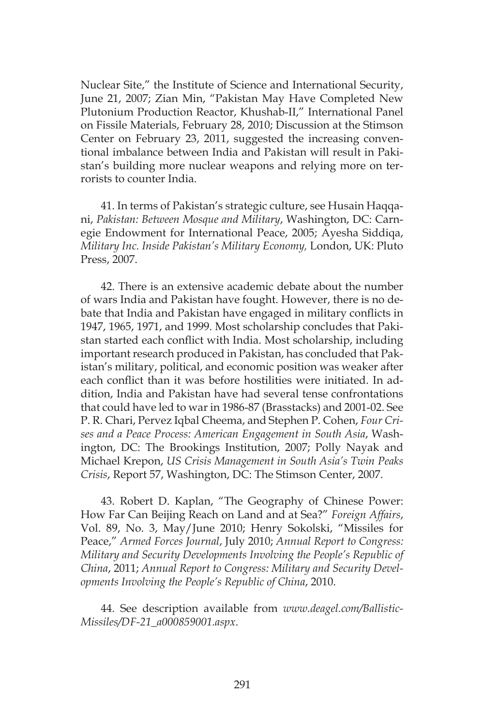Nuclear Site," the Institute of Science and International Security, June 21, 2007; Zian Min, "Pakistan May Have Completed New Plutonium Production Reactor, Khushab-II," International Panel on Fissile Materials, February 28, 2010; Discussion at the Stimson Center on February 23, 2011, suggested the increasing conventional imbalance between India and Pakistan will result in Pakistan's building more nuclear weapons and relying more on terrorists to counter India.

41. In terms of Pakistan's strategic culture, see Husain Haqqani, *Pakistan: Between Mosque and Military*, Washington, DC: Carnegie Endowment for International Peace, 2005; Ayesha Siddiqa, *Military Inc. Inside Pakistan's Military Economy,* London, UK: Pluto Press, 2007.

42. There is an extensive academic debate about the number of wars India and Pakistan have fought. However, there is no debate that India and Pakistan have engaged in military conflicts in 1947, 1965, 1971, and 1999. Most scholarship concludes that Pakistan started each conflict with India. Most scholarship, including important research produced in Pakistan, has concluded that Pakistan's military, political, and economic position was weaker after each conflict than it was before hostilities were initiated. In addition, India and Pakistan have had several tense confrontations that could have led to war in 1986-87 (Brasstacks) and 2001-02. See P. R. Chari, Pervez Iqbal Cheema, and Stephen P. Cohen, *Four Crises and a Peace Process: American Engagement in South Asia*, Washington, DC: The Brookings Institution, 2007; Polly Nayak and Michael Krepon, *US Crisis Management in South Asia's Twin Peaks Crisis*, Report 57, Washington, DC: The Stimson Center, 2007.

43. Robert D. Kaplan, "The Geography of Chinese Power: How Far Can Beijing Reach on Land and at Sea?" *Foreign Affairs*, Vol. 89, No. 3, May/June 2010; Henry Sokolski, "Missiles for Peace," *Armed Forces Journal*, July 2010; *Annual Report to Congress: Military and Security Developments Involving the People's Republic of China*, 2011; *Annual Report to Congress: Military and Security Developments Involving the People's Republic of China*, 2010.

44. See description available from *www.deagel.com/Ballistic-Missiles/DF-21\_a000859001.aspx*.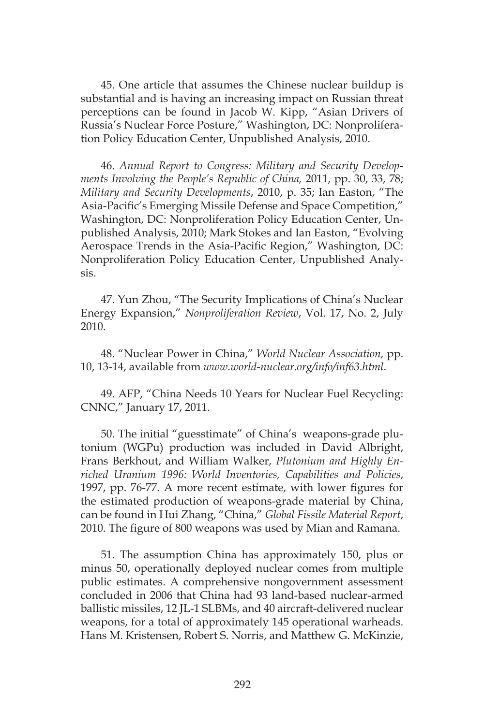45. One article that assumes the Chinese nuclear buildup is substantial and is having an increasing impact on Russian threat perceptions can be found in Jacob W. Kipp, "Asian Drivers of Russia's Nuclear Force Posture," Washington, DC: Nonproliferation Policy Education Center, Unpublished Analysis, 2010.

46. *Annual Report to Congress: Military and Security Developments Involving the People's Republic of China,* 2011, pp. 30, 33, 78; *Military and Security Developments*, 2010, p. 35; Ian Easton, "The Asia-Pacific's Emerging Missile Defense and Space Competition," Washington, DC: Nonproliferation Policy Education Center, Unpublished Analysis, 2010; Mark Stokes and Ian Easton, "Evolving Aerospace Trends in the Asia-Pacific Region," Washington, DC: Nonproliferation Policy Education Center, Unpublished Analysis.

47. Yun Zhou, "The Security Implications of China's Nuclear Energy Expansion," *Nonproliferation Review*, Vol. 17, No. 2, July 2010.

48. "Nuclear Power in China," *World Nuclear Association,* pp. 10, 13-14, available from *www.world-nuclear.org/info/inf63.html*.

49. AFP, "China Needs 10 Years for Nuclear Fuel Recycling: CNNC," January 17, 2011.

50. The initial "guesstimate" of China's weapons-grade plutonium (WGPu) production was included in David Albright, Frans Berkhout, and William Walker, *Plutonium and Highly Enriched Uranium 1996: World Inventories, Capabilities and Policies*, 1997, pp. 76-77. A more recent estimate, with lower figures for the estimated production of weapons-grade material by China, can be found in Hui Zhang, "China," *Global Fissile Material Report*, 2010. The figure of 800 weapons was used by Mian and Ramana.

51. The assumption China has approximately 150, plus or minus 50, operationally deployed nuclear comes from multiple public estimates. A comprehensive nongovernment assessment concluded in 2006 that China had 93 land-based nuclear-armed ballistic missiles, 12 JL-1 SLBMs, and 40 aircraft-delivered nuclear weapons, for a total of approximately 145 operational warheads. Hans M. Kristensen, Robert S. Norris, and Matthew G. McKinzie,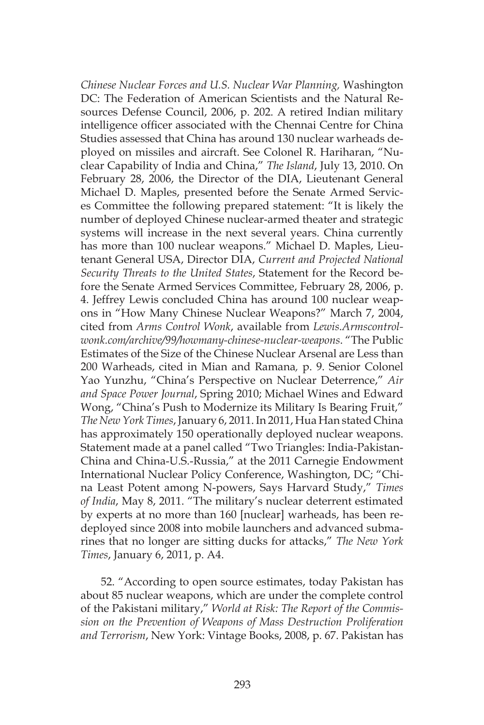*Chinese Nuclear Forces and U.S. Nuclear War Planning,* Washington DC: The Federation of American Scientists and the Natural Resources Defense Council, 2006, p. 202. A retired Indian military intelligence officer associated with the Chennai Centre for China Studies assessed that China has around 130 nuclear warheads deployed on missiles and aircraft. See Colonel R. Hariharan, "Nuclear Capability of India and China," *The Island*, July 13, 2010. On February 28, 2006, the Director of the DIA, Lieutenant General Michael D. Maples, presented before the Senate Armed Services Committee the following prepared statement: "It is likely the number of deployed Chinese nuclear-armed theater and strategic systems will increase in the next several years. China currently has more than 100 nuclear weapons." Michael D. Maples, Lieutenant General USA, Director DIA, *Current and Projected National Security Threats to the United States*, Statement for the Record before the Senate Armed Services Committee, February 28, 2006, p. 4. Jeffrey Lewis concluded China has around 100 nuclear weapons in "How Many Chinese Nuclear Weapons?" March 7, 2004, cited from *Arms Control Wonk*, available from *Lewis.Armscontrolwonk.com/archive/99/howmany-chinese-nuclear-weapons*. "The Public Estimates of the Size of the Chinese Nuclear Arsenal are Less than 200 Warheads, cited in Mian and Ramana*,* p. 9. Senior Colonel Yao Yunzhu, "China's Perspective on Nuclear Deterrence," *Air and Space Power Journal*, Spring 2010; Michael Wines and Edward Wong, "China's Push to Modernize its Military Is Bearing Fruit," *The New York Times*, January 6, 2011. In 2011, Hua Han stated China has approximately 150 operationally deployed nuclear weapons. Statement made at a panel called "Two Triangles: India-Pakistan-China and China-U.S.-Russia," at the 2011 Carnegie Endowment International Nuclear Policy Conference, Washington, DC; "China Least Potent among N-powers, Says Harvard Study," *Times of India*, May 8, 2011. "The military's nuclear deterrent estimated by experts at no more than 160 [nuclear] warheads, has been redeployed since 2008 into mobile launchers and advanced submarines that no longer are sitting ducks for attacks," *The New York Times*, January 6, 2011, p. A4.

52. "According to open source estimates, today Pakistan has about 85 nuclear weapons, which are under the complete control of the Pakistani military," *World at Risk: The Report of the Commission on the Prevention of Weapons of Mass Destruction Proliferation and Terrorism*, New York: Vintage Books, 2008, p. 67. Pakistan has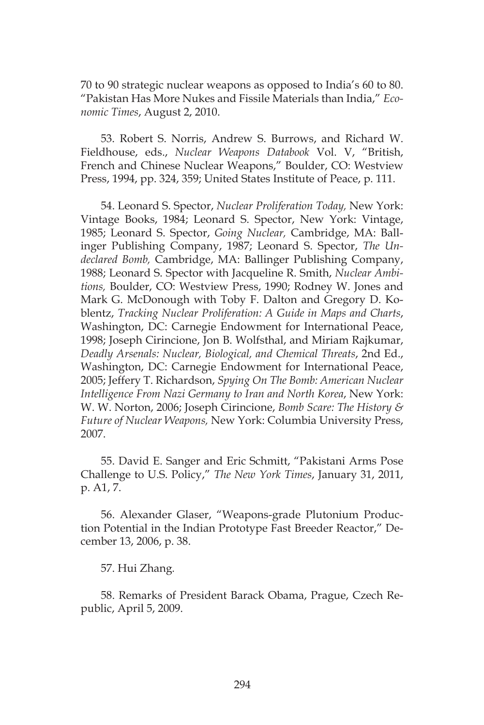70 to 90 strategic nuclear weapons as opposed to India's 60 to 80. "Pakistan Has More Nukes and Fissile Materials than India," *Economic Times*, August 2, 2010.

53. Robert S. Norris, Andrew S. Burrows, and Richard W. Fieldhouse, eds., *Nuclear Weapons Databook* Vol. V, "British, French and Chinese Nuclear Weapons," Boulder, CO: Westview Press, 1994, pp. 324, 359; United States Institute of Peace, p. 111.

54. Leonard S. Spector, *Nuclear Proliferation Today,* New York: Vintage Books, 1984; Leonard S. Spector, New York: Vintage, 1985; Leonard S. Spector, *Going Nuclear,* Cambridge, MA: Ballinger Publishing Company, 1987; Leonard S. Spector, *The Undeclared Bomb,* Cambridge, MA: Ballinger Publishing Company, 1988; Leonard S. Spector with Jacqueline R. Smith, *Nuclear Ambitions,* Boulder, CO: Westview Press, 1990; Rodney W. Jones and Mark G. McDonough with Toby F. Dalton and Gregory D. Koblentz, *Tracking Nuclear Proliferation: A Guide in Maps and Charts*, Washington, DC: Carnegie Endowment for International Peace, 1998; Joseph Cirincione, Jon B. Wolfsthal, and Miriam Rajkumar, *Deadly Arsenals: Nuclear, Biological, and Chemical Threats*, 2nd Ed., Washington, DC: Carnegie Endowment for International Peace, 2005; Jeffery T. Richardson, *Spying On The Bomb: American Nuclear Intelligence From Nazi Germany to Iran and North Korea*, New York: W. W. Norton, 2006; Joseph Cirincione, *Bomb Scare: The History & Future of Nuclear Weapons,* New York: Columbia University Press, 2007.

55. David E. Sanger and Eric Schmitt, "Pakistani Arms Pose Challenge to U.S. Policy," *The New York Times*, January 31, 2011, p. A1, 7.

56. Alexander Glaser, "Weapons-grade Plutonium Production Potential in the Indian Prototype Fast Breeder Reactor," December 13, 2006, p. 38.

57. Hui Zhang*.*

58. Remarks of President Barack Obama, Prague, Czech Republic, April 5, 2009.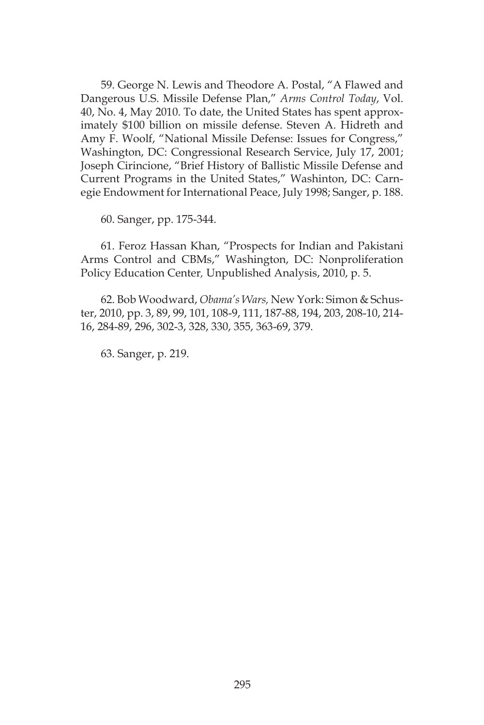59. George N. Lewis and Theodore A. Postal, "A Flawed and Dangerous U.S. Missile Defense Plan," *Arms Control Today*, Vol. 40, No. 4, May 2010. To date, the United States has spent approximately \$100 billion on missile defense. Steven A. Hidreth and Amy F. Woolf, "National Missile Defense: Issues for Congress," Washington, DC: Congressional Research Service, July 17, 2001; Joseph Cirincione, "Brief History of Ballistic Missile Defense and Current Programs in the United States," Washinton, DC: Carnegie Endowment for International Peace, July 1998; Sanger, p. 188.

60. Sanger, pp. 175-344.

61. Feroz Hassan Khan, "Prospects for Indian and Pakistani Arms Control and CBMs," Washington, DC: Nonproliferation Policy Education Center*,* Unpublished Analysis, 2010, p. 5.

62. Bob Woodward, *Obama's Wars,* New York: Simon & Schuster, 2010, pp. 3, 89, 99, 101, 108-9, 111, 187-88, 194, 203, 208-10, 214- 16, 284-89, 296, 302-3, 328, 330, 355, 363-69, 379.

63. Sanger, p. 219.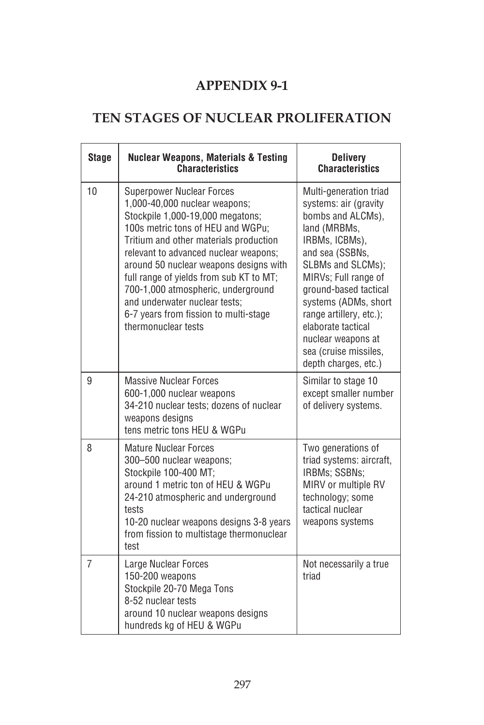# **TEN STAGES OF NUCLEAR PROLIFERATION**

| <b>Stage</b> | <b>Nuclear Weapons, Materials &amp; Testing</b><br><b>Characteristics</b>                                                                                                                                                                                                                                                                                                                                                                                 | <b>Delivery</b><br><b>Characteristics</b>                                                                                                                                                                                                                                                                                                       |
|--------------|-----------------------------------------------------------------------------------------------------------------------------------------------------------------------------------------------------------------------------------------------------------------------------------------------------------------------------------------------------------------------------------------------------------------------------------------------------------|-------------------------------------------------------------------------------------------------------------------------------------------------------------------------------------------------------------------------------------------------------------------------------------------------------------------------------------------------|
| 10           | <b>Superpower Nuclear Forces</b><br>1,000-40,000 nuclear weapons;<br>Stockpile 1,000-19,000 megatons;<br>100s metric tons of HEU and WGPu;<br>Tritium and other materials production<br>relevant to advanced nuclear weapons;<br>around 50 nuclear weapons designs with<br>full range of yields from sub KT to MT;<br>700-1,000 atmospheric, underground<br>and underwater nuclear tests;<br>6-7 years from fission to multi-stage<br>thermonuclear tests | Multi-generation triad<br>systems: air (gravity<br>bombs and ALCMs),<br>land (MRBMs,<br>IRBMs, ICBMs),<br>and sea (SSBNs,<br>SLBMs and SLCMs);<br>MIRVs; Full range of<br>ground-based tactical<br>systems (ADMs, short<br>range artillery, etc.);<br>elaborate tactical<br>nuclear weapons at<br>sea (cruise missiles,<br>depth charges, etc.) |
| 9            | <b>Massive Nuclear Forces</b><br>600-1,000 nuclear weapons<br>34-210 nuclear tests; dozens of nuclear<br>weapons designs<br>tens metric tons HEU & WGPu                                                                                                                                                                                                                                                                                                   | Similar to stage 10<br>except smaller number<br>of delivery systems.                                                                                                                                                                                                                                                                            |
| 8            | <b>Mature Nuclear Forces</b><br>300-500 nuclear weapons;<br>Stockpile 100-400 MT;<br>around 1 metric ton of HEU & WGPu<br>24-210 atmospheric and underground<br>tests<br>10-20 nuclear weapons designs 3-8 years<br>from fission to multistage thermonuclear<br>test                                                                                                                                                                                      | Two generations of<br>triad systems: aircraft,<br>IRBMs; SSBNs;<br>MIRV or multiple RV<br>technology; some<br>tactical nuclear<br>weapons systems                                                                                                                                                                                               |
| 7            | Large Nuclear Forces<br>150-200 weapons<br>Stockpile 20-70 Mega Tons<br>8-52 nuclear tests<br>around 10 nuclear weapons designs<br>hundreds kg of HEU & WGPu                                                                                                                                                                                                                                                                                              | Not necessarily a true<br>triad                                                                                                                                                                                                                                                                                                                 |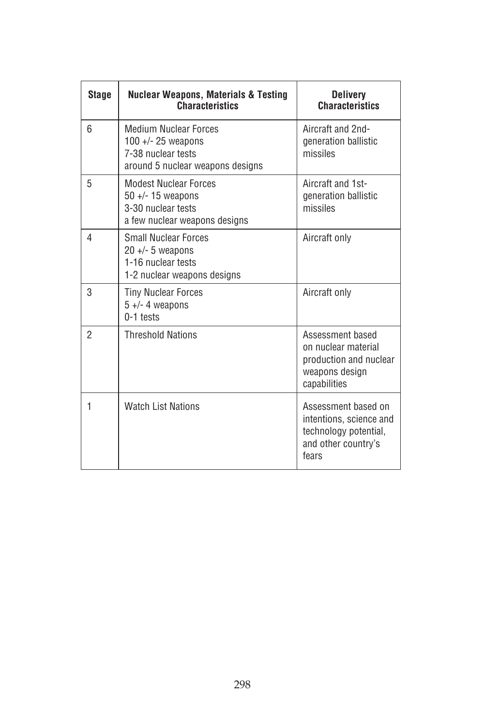| <b>Stage</b> | <b>Nuclear Weapons, Materials &amp; Testing</b><br><b>Characteristics</b>                                    | <b>Delivery</b><br><b>Characteristics</b>                                                               |
|--------------|--------------------------------------------------------------------------------------------------------------|---------------------------------------------------------------------------------------------------------|
| 6            | <b>Medium Nuclear Forces</b><br>100 +/- 25 weapons<br>7-38 nuclear tests<br>around 5 nuclear weapons designs | Aircraft and 2nd-<br>generation ballistic<br>missiles                                                   |
| 5            | <b>Modest Nuclear Forces</b><br>$50 + (-15$ weapons<br>3-30 nuclear tests<br>a few nuclear weapons designs   | Aircraft and 1st-<br>generation ballistic<br>missiles                                                   |
| 4            | <b>Small Nuclear Forces</b><br>$20 + - 5$ weapons<br>1-16 nuclear tests<br>1-2 nuclear weapons designs       | Aircraft only                                                                                           |
| 3            | <b>Tiny Nuclear Forces</b><br>$5 +/- 4$ weapons<br>$0-1$ tests                                               | Aircraft only                                                                                           |
| 2            | <b>Threshold Nations</b>                                                                                     | Assessment based<br>on nuclear material<br>production and nuclear<br>weapons design<br>capabilities     |
| 1            | <b>Watch List Nations</b>                                                                                    | Assessment based on<br>intentions, science and<br>technology potential,<br>and other country's<br>fears |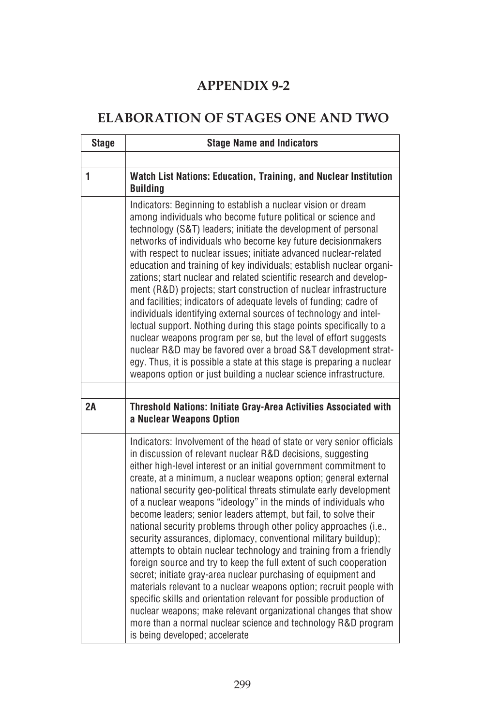# **ELABORATION OF STAGES ONE AND TWO**

| <b>Stage</b> | <b>Stage Name and Indicators</b>                                                                                                                                                                                                                                                                                                                                                                                                                                                                                                                                                                                                                                                                                                                                                                                                                                                                                                                                                                                                                                                                                                                                      |
|--------------|-----------------------------------------------------------------------------------------------------------------------------------------------------------------------------------------------------------------------------------------------------------------------------------------------------------------------------------------------------------------------------------------------------------------------------------------------------------------------------------------------------------------------------------------------------------------------------------------------------------------------------------------------------------------------------------------------------------------------------------------------------------------------------------------------------------------------------------------------------------------------------------------------------------------------------------------------------------------------------------------------------------------------------------------------------------------------------------------------------------------------------------------------------------------------|
|              |                                                                                                                                                                                                                                                                                                                                                                                                                                                                                                                                                                                                                                                                                                                                                                                                                                                                                                                                                                                                                                                                                                                                                                       |
| 1            | Watch List Nations: Education, Training, and Nuclear Institution<br><b>Building</b>                                                                                                                                                                                                                                                                                                                                                                                                                                                                                                                                                                                                                                                                                                                                                                                                                                                                                                                                                                                                                                                                                   |
|              | Indicators: Beginning to establish a nuclear vision or dream<br>among individuals who become future political or science and<br>technology (S&T) leaders; initiate the development of personal<br>networks of individuals who become key future decisionmakers<br>with respect to nuclear issues; initiate advanced nuclear-related<br>education and training of key individuals; establish nuclear organi-<br>zations; start nuclear and related scientific research and develop-<br>ment (R&D) projects; start construction of nuclear infrastructure<br>and facilities; indicators of adequate levels of funding; cadre of<br>individuals identifying external sources of technology and intel-<br>lectual support. Nothing during this stage points specifically to a<br>nuclear weapons program per se, but the level of effort suggests<br>nuclear R&D may be favored over a broad S&T development strat-<br>egy. Thus, it is possible a state at this stage is preparing a nuclear<br>weapons option or just building a nuclear science infrastructure.                                                                                                        |
|              |                                                                                                                                                                                                                                                                                                                                                                                                                                                                                                                                                                                                                                                                                                                                                                                                                                                                                                                                                                                                                                                                                                                                                                       |
| 2A           | Threshold Nations: Initiate Gray-Area Activities Associated with<br>a Nuclear Weapons Option                                                                                                                                                                                                                                                                                                                                                                                                                                                                                                                                                                                                                                                                                                                                                                                                                                                                                                                                                                                                                                                                          |
|              | Indicators: Involvement of the head of state or very senior officials<br>in discussion of relevant nuclear R&D decisions, suggesting<br>either high-level interest or an initial government commitment to<br>create, at a minimum, a nuclear weapons option; general external<br>national security geo-political threats stimulate early development<br>of a nuclear weapons "ideology" in the minds of individuals who<br>become leaders; senior leaders attempt, but fail, to solve their<br>national security problems through other policy approaches (i.e.,<br>security assurances, diplomacy, conventional military buildup);<br>attempts to obtain nuclear technology and training from a friendly<br>foreign source and try to keep the full extent of such cooperation<br>secret; initiate gray-area nuclear purchasing of equipment and<br>materials relevant to a nuclear weapons option; recruit people with<br>specific skills and orientation relevant for possible production of<br>nuclear weapons; make relevant organizational changes that show<br>more than a normal nuclear science and technology R&D program<br>is being developed; accelerate |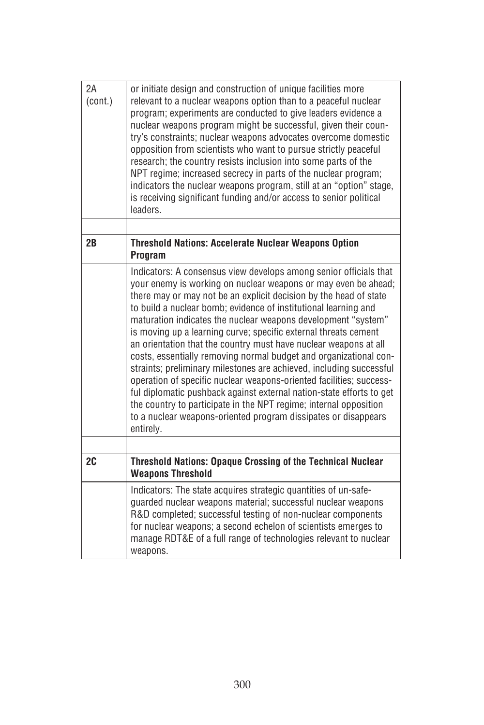| 2A<br>(cont.) | or initiate design and construction of unique facilities more<br>relevant to a nuclear weapons option than to a peaceful nuclear<br>program; experiments are conducted to give leaders evidence a<br>nuclear weapons program might be successful, given their coun-<br>try's constraints; nuclear weapons advocates overcome domestic<br>opposition from scientists who want to pursue strictly peaceful<br>research; the country resists inclusion into some parts of the<br>NPT regime; increased secrecy in parts of the nuclear program;<br>indicators the nuclear weapons program, still at an "option" stage,<br>is receiving significant funding and/or access to senior political<br>leaders.                                                                                                                                                                                                                              |
|---------------|------------------------------------------------------------------------------------------------------------------------------------------------------------------------------------------------------------------------------------------------------------------------------------------------------------------------------------------------------------------------------------------------------------------------------------------------------------------------------------------------------------------------------------------------------------------------------------------------------------------------------------------------------------------------------------------------------------------------------------------------------------------------------------------------------------------------------------------------------------------------------------------------------------------------------------|
|               |                                                                                                                                                                                                                                                                                                                                                                                                                                                                                                                                                                                                                                                                                                                                                                                                                                                                                                                                    |
| 2B            | <b>Threshold Nations: Accelerate Nuclear Weapons Option</b><br>Program                                                                                                                                                                                                                                                                                                                                                                                                                                                                                                                                                                                                                                                                                                                                                                                                                                                             |
|               | Indicators: A consensus view develops among senior officials that<br>your enemy is working on nuclear weapons or may even be ahead;<br>there may or may not be an explicit decision by the head of state<br>to build a nuclear bomb; evidence of institutional learning and<br>maturation indicates the nuclear weapons development "system"<br>is moving up a learning curve; specific external threats cement<br>an orientation that the country must have nuclear weapons at all<br>costs, essentially removing normal budget and organizational con-<br>straints; preliminary milestones are achieved, including successful<br>operation of specific nuclear weapons-oriented facilities; success-<br>ful diplomatic pushback against external nation-state efforts to get<br>the country to participate in the NPT regime; internal opposition<br>to a nuclear weapons-oriented program dissipates or disappears<br>entirely. |
|               |                                                                                                                                                                                                                                                                                                                                                                                                                                                                                                                                                                                                                                                                                                                                                                                                                                                                                                                                    |
| 2C            | <b>Threshold Nations: Opaque Crossing of the Technical Nuclear</b><br><b>Weapons Threshold</b>                                                                                                                                                                                                                                                                                                                                                                                                                                                                                                                                                                                                                                                                                                                                                                                                                                     |
|               | Indicators: The state acquires strategic quantities of un-safe-<br>guarded nuclear weapons material; successful nuclear weapons<br>R&D completed; successful testing of non-nuclear components<br>for nuclear weapons; a second echelon of scientists emerges to<br>manage RDT&E of a full range of technologies relevant to nuclear<br>weapons.                                                                                                                                                                                                                                                                                                                                                                                                                                                                                                                                                                                   |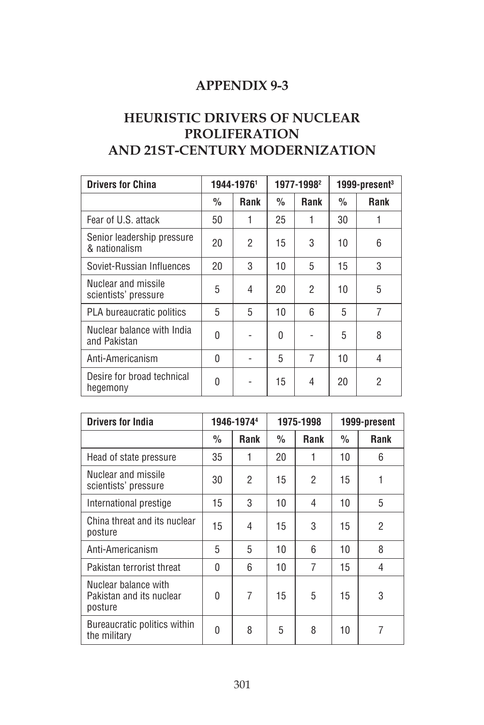# **HEURISTIC DRIVERS OF NUCLEAR PROLIFERATION AND 21ST-CENTURY MODERNIZATION**

| <b>Drivers for China</b>                    | 1944-19761 |             | 1977-1998 <sup>2</sup> |             | 1999-present <sup>3</sup> |      |
|---------------------------------------------|------------|-------------|------------------------|-------------|---------------------------|------|
|                                             | %          | <b>Rank</b> | $\frac{0}{0}$          | <b>Rank</b> | $\frac{0}{0}$             | Rank |
| Fear of U.S. attack                         | 50         | 1           | 25                     | 1           | 30                        |      |
| Senior leadership pressure<br>& nationalism | 20         | 2           | 15                     | 3           | 10                        | 6    |
| Soviet-Russian Influences                   | 20         | 3           | 10                     | 5           | 15                        | 3    |
| Nuclear and missile<br>scientists' pressure | 5          | 4           | 20                     | 2           | 10                        | 5    |
| PLA bureaucratic politics                   | 5          | 5           | 10                     | 6           | 5                         | 7    |
| Nuclear balance with India<br>and Pakistan  | 0          |             | $\Omega$               |             | 5                         | 8    |
| Anti-Americanism                            | 0          |             | 5                      | 7           | 10                        | 4    |
| Desire for broad technical<br>hegemony      | 0          |             | 15                     | 4           | 20                        | 2    |

| <b>Drivers for India</b>                                    |               | 1946-19744 | 1975-1998     |             | 1999-present  |             |
|-------------------------------------------------------------|---------------|------------|---------------|-------------|---------------|-------------|
|                                                             | $\frac{0}{0}$ | Rank       | $\frac{0}{0}$ | <b>Rank</b> | $\frac{0}{0}$ | <b>Rank</b> |
| Head of state pressure                                      | 35            | 1          | 20            | 1           | 10            | 6           |
| Nuclear and missile<br>scientists' pressure                 | 30            | 2          | 15            | 2           | 15            | 1           |
| International prestige                                      | 15            | 3          | 10            | 4           | 10            | 5           |
| China threat and its nuclear<br>posture                     | 15            | 4          | 15            | 3           | 15            | 2           |
| Anti-Americanism                                            | 5             | 5          | 10            | 6           | 10            | 8           |
| Pakistan terrorist threat                                   | 0             | 6          | 10            | 7           | 15            | 4           |
| Nuclear balance with<br>Pakistan and its nuclear<br>posture | 0             | 7          | 15            | 5           | 15            | 3           |
| Bureaucratic politics within<br>the military                | 0             | 8          | 5             | 8           | 10            | 7           |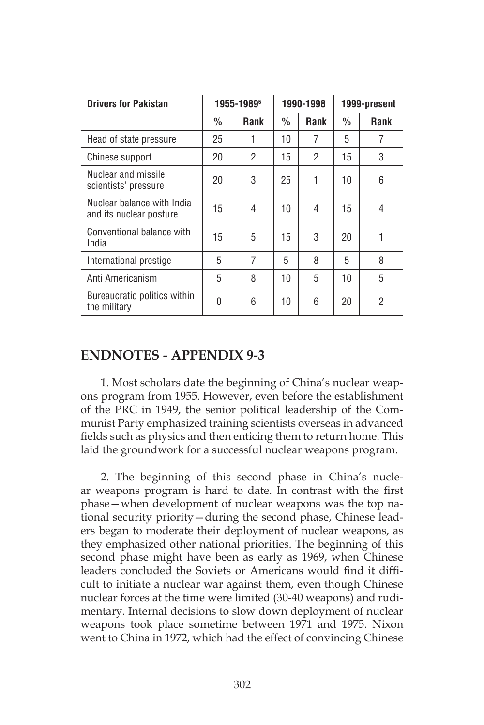| <b>Drivers for Pakistan</b>                           | 1955-1989 <sup>5</sup> |             | 1990-1998     |      | 1999-present  |             |
|-------------------------------------------------------|------------------------|-------------|---------------|------|---------------|-------------|
|                                                       | $\frac{0}{0}$          | <b>Rank</b> | $\frac{0}{0}$ | Rank | $\frac{0}{0}$ | <b>Rank</b> |
| Head of state pressure                                | 25                     | 1           | 10            | 7    | 5             | 7           |
| Chinese support                                       | 20                     | 2           | 15            | 2    | 15            | 3           |
| Nuclear and missile<br>scientists' pressure           | 20                     | 3           | 25            | 1    | 10            | 6           |
| Nuclear balance with India<br>and its nuclear posture | 15                     | 4           | 10            | 4    | 15            | 4           |
| Conventional balance with<br>India                    | 15                     | 5           | 15            | 3    | 20            | 1           |
| International prestige                                | 5                      | 7           | 5             | 8    | 5             | 8           |
| Anti Americanism                                      | 5                      | 8           | 10            | 5    | 10            | 5           |
| Bureaucratic politics within<br>the military          | 0                      | 6           | 10            | 6    | 20            | 2           |

#### **ENDNOTES - APPENDIX 9-3**

1. Most scholars date the beginning of China's nuclear weapons program from 1955. However, even before the establishment of the PRC in 1949, the senior political leadership of the Communist Party emphasized training scientists overseas in advanced fields such as physics and then enticing them to return home. This laid the groundwork for a successful nuclear weapons program.

2. The beginning of this second phase in China's nuclear weapons program is hard to date. In contrast with the first phase—when development of nuclear weapons was the top national security priority—during the second phase, Chinese leaders began to moderate their deployment of nuclear weapons, as they emphasized other national priorities. The beginning of this second phase might have been as early as 1969, when Chinese leaders concluded the Soviets or Americans would find it difficult to initiate a nuclear war against them, even though Chinese nuclear forces at the time were limited (30-40 weapons) and rudimentary. Internal decisions to slow down deployment of nuclear weapons took place sometime between 1971 and 1975. Nixon went to China in 1972, which had the effect of convincing Chinese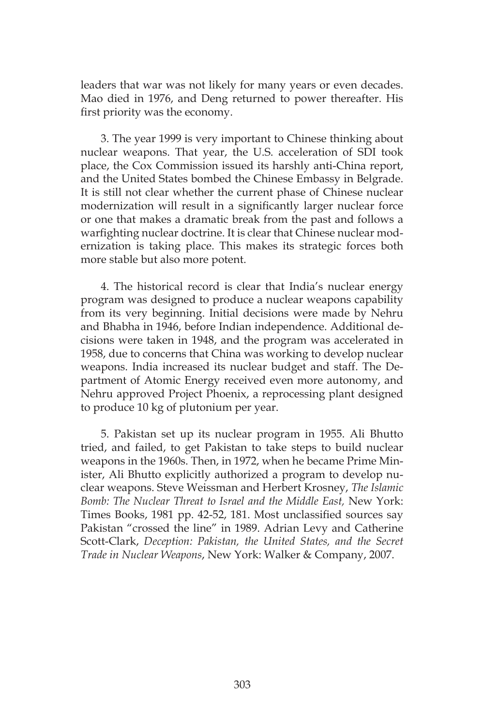leaders that war was not likely for many years or even decades. Mao died in 1976, and Deng returned to power thereafter. His first priority was the economy.

3. The year 1999 is very important to Chinese thinking about nuclear weapons. That year, the U.S. acceleration of SDI took place, the Cox Commission issued its harshly anti-China report, and the United States bombed the Chinese Embassy in Belgrade. It is still not clear whether the current phase of Chinese nuclear modernization will result in a significantly larger nuclear force or one that makes a dramatic break from the past and follows a warfighting nuclear doctrine. It is clear that Chinese nuclear modernization is taking place. This makes its strategic forces both more stable but also more potent.

4. The historical record is clear that India's nuclear energy program was designed to produce a nuclear weapons capability from its very beginning. Initial decisions were made by Nehru and Bhabha in 1946, before Indian independence. Additional decisions were taken in 1948, and the program was accelerated in 1958, due to concerns that China was working to develop nuclear weapons. India increased its nuclear budget and staff. The Department of Atomic Energy received even more autonomy, and Nehru approved Project Phoenix, a reprocessing plant designed to produce 10 kg of plutonium per year.

5. Pakistan set up its nuclear program in 1955. Ali Bhutto tried, and failed, to get Pakistan to take steps to build nuclear weapons in the 1960s. Then, in 1972, when he became Prime Minister, Ali Bhutto explicitly authorized a program to develop nuclear weapons. Steve Weissman and Herbert Krosney, *The Islamic Bomb: The Nuclear Threat to Israel and the Middle East,* New York: Times Books, 1981 pp. 42-52, 181. Most unclassified sources say Pakistan "crossed the line" in 1989. Adrian Levy and Catherine Scott-Clark, *Deception: Pakistan, the United States, and the Secret Trade in Nuclear Weapons*, New York: Walker & Company, 2007.